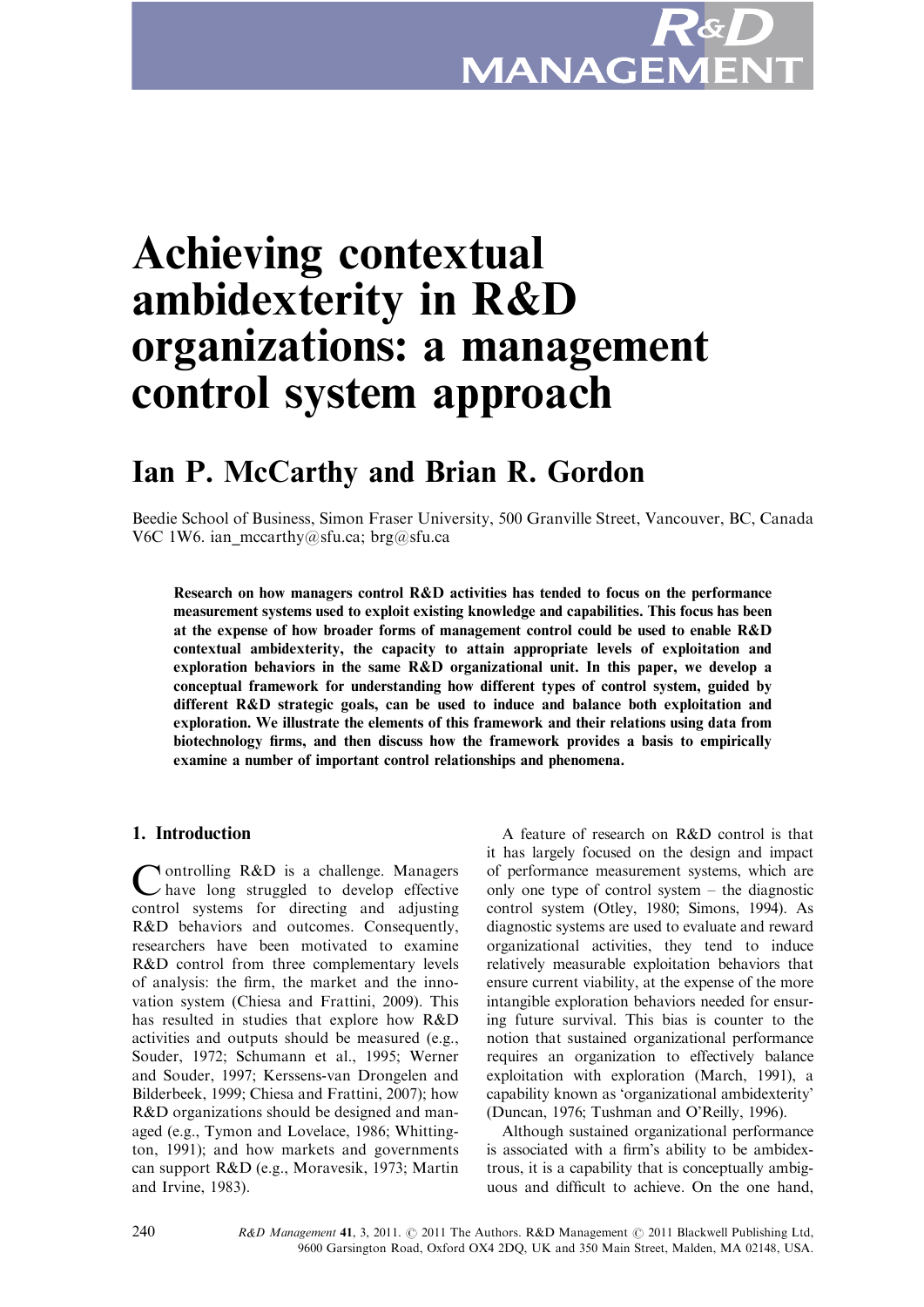# Achieving contextual ambidexterity in R&D organizations: a management control system approach

# Ian P. McCarthy and Brian R. Gordon

Beedie School of Business, Simon Fraser University, 500 Granville Street, Vancouver, BC, Canada V6C 1W6. [ian\\_mccarthy@sfu.ca; brg@sfu.ca](mailto:brg@sfu.ca)

Research on how managers control R&D activities has tended to focus on the performance measurement systems used to exploit existing knowledge and capabilities. This focus has been at the expense of how broader forms of management control could be used to enable R&D contextual ambidexterity, the capacity to attain appropriate levels of exploitation and exploration behaviors in the same R&D organizational unit. In this paper, we develop a conceptual framework for understanding how different types of control system, guided by different R&D strategic goals, can be used to induce and balance both exploitation and exploration. We illustrate the elements of this framework and their relations using data from biotechnology firms, and then discuss how the framework provides a basis to empirically examine a number of important control relationships and phenomena.

# 1. Introduction

Controlling R&D is a challenge. Managers have long struggled to develop effective control systems for directing and adjusting R&D behaviors and outcomes. Consequently, researchers have been motivated to examine R&D control from three complementary levels of analysis: the firm, the market and the innovation system (Chiesa and Frattini, 2009). This has resulted in studies that explore how R&D activities and outputs should be measured (e.g., Souder, 1972; Schumann et al., 1995; Werner and Souder, 1997; Kerssens-van Drongelen and Bilderbeek, 1999; Chiesa and Frattini, 2007); how R&D organizations should be designed and managed (e.g., Tymon and Lovelace, 1986; Whittington, 1991); and how markets and governments can support R&D (e.g., Moravesik, 1973; Martin and Irvine, 1983).

A feature of research on R&D control is that it has largely focused on the design and impact of performance measurement systems, which are only one type of control system – the diagnostic control system (Otley, 1980; Simons, 1994). As diagnostic systems are used to evaluate and reward organizational activities, they tend to induce relatively measurable exploitation behaviors that ensure current viability, at the expense of the more intangible exploration behaviors needed for ensuring future survival. This bias is counter to the notion that sustained organizational performance requires an organization to effectively balance exploitation with exploration (March, 1991), a capability known as 'organizational ambidexterity' (Duncan, 1976; Tushman and O'Reilly, 1996).

Although sustained organizational performance is associated with a firm's ability to be ambidextrous, it is a capability that is conceptually ambiguous and difficult to achieve. On the one hand,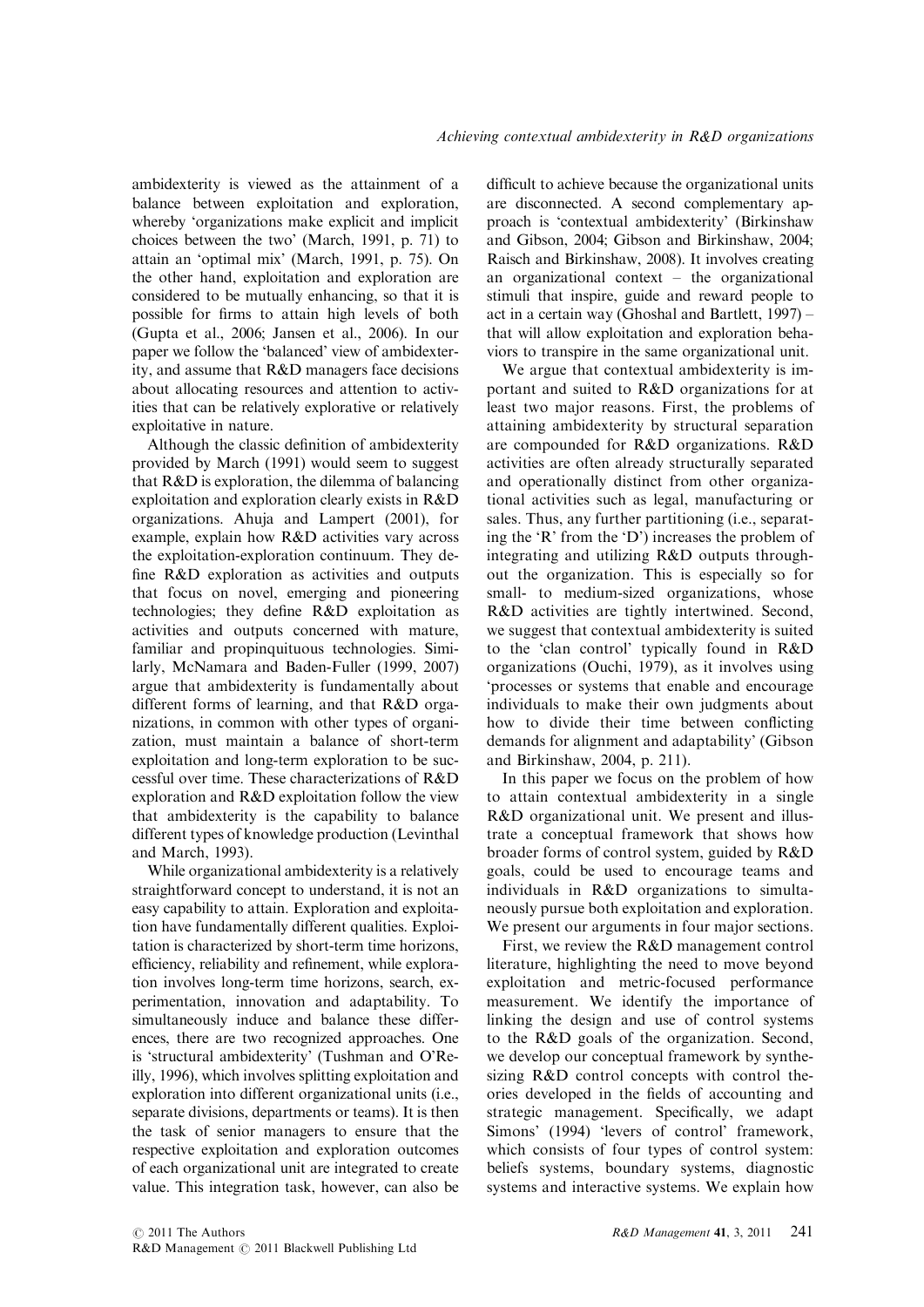ambidexterity is viewed as the attainment of a balance between exploitation and exploration, whereby 'organizations make explicit and implicit choices between the two' (March, 1991, p. 71) to attain an 'optimal mix' (March, 1991, p. 75). On the other hand, exploitation and exploration are considered to be mutually enhancing, so that it is possible for firms to attain high levels of both (Gupta et al., 2006; Jansen et al., 2006). In our paper we follow the 'balanced' view of ambidexterity, and assume that R&D managers face decisions about allocating resources and attention to activities that can be relatively explorative or relatively exploitative in nature.

Although the classic definition of ambidexterity provided by March (1991) would seem to suggest that R&D is exploration, the dilemma of balancing exploitation and exploration clearly exists in R&D organizations. Ahuja and Lampert (2001), for example, explain how R&D activities vary across the exploitation-exploration continuum. They define R&D exploration as activities and outputs that focus on novel, emerging and pioneering technologies; they define R&D exploitation as activities and outputs concerned with mature, familiar and propinquituous technologies. Similarly, McNamara and Baden-Fuller (1999, 2007) argue that ambidexterity is fundamentally about different forms of learning, and that R&D organizations, in common with other types of organization, must maintain a balance of short-term exploitation and long-term exploration to be successful over time. These characterizations of R&D exploration and R&D exploitation follow the view that ambidexterity is the capability to balance different types of knowledge production (Levinthal and March, 1993).

While organizational ambidexterity is a relatively straightforward concept to understand, it is not an easy capability to attain. Exploration and exploitation have fundamentally different qualities. Exploitation is characterized by short-term time horizons, efficiency, reliability and refinement, while exploration involves long-term time horizons, search, experimentation, innovation and adaptability. To simultaneously induce and balance these differences, there are two recognized approaches. One is 'structural ambidexterity' (Tushman and O'Reilly, 1996), which involves splitting exploitation and exploration into different organizational units (i.e., separate divisions, departments or teams). It is then the task of senior managers to ensure that the respective exploitation and exploration outcomes of each organizational unit are integrated to create value. This integration task, however, can also be

difficult to achieve because the organizational units are disconnected. A second complementary approach is 'contextual ambidexterity' (Birkinshaw and Gibson, 2004; Gibson and Birkinshaw, 2004; Raisch and Birkinshaw, 2008). It involves creating an organizational context – the organizational stimuli that inspire, guide and reward people to act in a certain way (Ghoshal and Bartlett, 1997) – that will allow exploitation and exploration behaviors to transpire in the same organizational unit.

We argue that contextual ambidexterity is important and suited to R&D organizations for at least two major reasons. First, the problems of attaining ambidexterity by structural separation are compounded for R&D organizations. R&D activities are often already structurally separated and operationally distinct from other organizational activities such as legal, manufacturing or sales. Thus, any further partitioning (i.e., separating the 'R' from the 'D') increases the problem of integrating and utilizing R&D outputs throughout the organization. This is especially so for small- to medium-sized organizations, whose R&D activities are tightly intertwined. Second, we suggest that contextual ambidexterity is suited to the 'clan control' typically found in R&D organizations (Ouchi, 1979), as it involves using 'processes or systems that enable and encourage individuals to make their own judgments about how to divide their time between conflicting demands for alignment and adaptability' (Gibson and Birkinshaw, 2004, p. 211).

In this paper we focus on the problem of how to attain contextual ambidexterity in a single R&D organizational unit. We present and illustrate a conceptual framework that shows how broader forms of control system, guided by R&D goals, could be used to encourage teams and individuals in R&D organizations to simultaneously pursue both exploitation and exploration. We present our arguments in four major sections.

First, we review the R&D management control literature, highlighting the need to move beyond exploitation and metric-focused performance measurement. We identify the importance of linking the design and use of control systems to the R&D goals of the organization. Second, we develop our conceptual framework by synthesizing R&D control concepts with control theories developed in the fields of accounting and strategic management. Specifically, we adapt Simons' (1994) 'levers of control' framework, which consists of four types of control system: beliefs systems, boundary systems, diagnostic systems and interactive systems. We explain how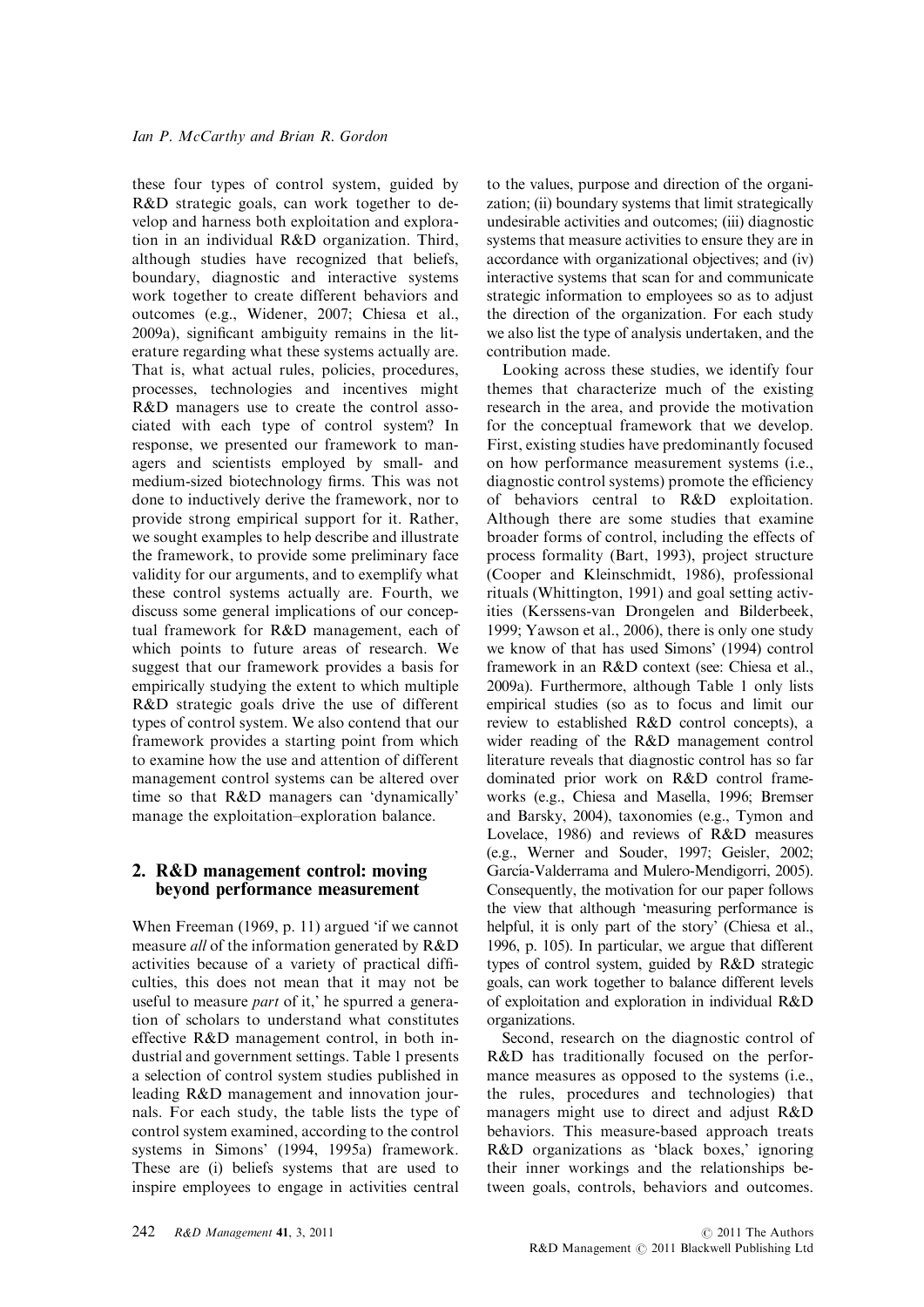these four types of control system, guided by R&D strategic goals, can work together to develop and harness both exploitation and exploration in an individual R&D organization. Third, although studies have recognized that beliefs, boundary, diagnostic and interactive systems work together to create different behaviors and outcomes (e.g., Widener, 2007; Chiesa et al., 2009a), significant ambiguity remains in the literature regarding what these systems actually are. That is, what actual rules, policies, procedures, processes, technologies and incentives might R&D managers use to create the control associated with each type of control system? In response, we presented our framework to managers and scientists employed by small- and medium-sized biotechnology firms. This was not done to inductively derive the framework, nor to provide strong empirical support for it. Rather, we sought examples to help describe and illustrate the framework, to provide some preliminary face validity for our arguments, and to exemplify what these control systems actually are. Fourth, we discuss some general implications of our conceptual framework for R&D management, each of which points to future areas of research. We suggest that our framework provides a basis for empirically studying the extent to which multiple R&D strategic goals drive the use of different types of control system. We also contend that our framework provides a starting point from which to examine how the use and attention of different management control systems can be altered over time so that R&D managers can 'dynamically' manage the exploitation–exploration balance.

# 2. R&D management control: moving beyond performance measurement

When Freeman (1969, p. 11) argued 'if we cannot measure all of the information generated by R&D activities because of a variety of practical difficulties, this does not mean that it may not be useful to measure *part* of it,' he spurred a generation of scholars to understand what constitutes effective R&D management control, in both industrial and government settings. Table 1 presents a selection of control system studies published in leading R&D management and innovation journals. For each study, the table lists the type of control system examined, according to the control systems in Simons' (1994, 1995a) framework. These are (i) beliefs systems that are used to inspire employees to engage in activities central

to the values, purpose and direction of the organization; (ii) boundary systems that limit strategically undesirable activities and outcomes; (iii) diagnostic systems that measure activities to ensure they are in accordance with organizational objectives; and (iv) interactive systems that scan for and communicate strategic information to employees so as to adjust the direction of the organization. For each study we also list the type of analysis undertaken, and the contribution made.

Looking across these studies, we identify four themes that characterize much of the existing research in the area, and provide the motivation for the conceptual framework that we develop. First, existing studies have predominantly focused on how performance measurement systems (i.e., diagnostic control systems) promote the efficiency of behaviors central to R&D exploitation. Although there are some studies that examine broader forms of control, including the effects of process formality (Bart, 1993), project structure (Cooper and Kleinschmidt, 1986), professional rituals (Whittington, 1991) and goal setting activities (Kerssens-van Drongelen and Bilderbeek, 1999; Yawson et al., 2006), there is only one study we know of that has used Simons' (1994) control framework in an R&D context (see: Chiesa et al., 2009a). Furthermore, although Table 1 only lists empirical studies (so as to focus and limit our review to established R&D control concepts), a wider reading of the R&D management control literature reveals that diagnostic control has so far dominated prior work on R&D control frameworks (e.g., Chiesa and Masella, 1996; Bremser and Barsky, 2004), taxonomies (e.g., Tymon and Lovelace, 1986) and reviews of R&D measures (e.g., Werner and Souder, 1997; Geisler, 2002; García-Valderrama and Mulero-Mendigorri, 2005). Consequently, the motivation for our paper follows the view that although 'measuring performance is helpful, it is only part of the story' (Chiesa et al., 1996, p. 105). In particular, we argue that different types of control system, guided by R&D strategic goals, can work together to balance different levels of exploitation and exploration in individual R&D organizations.

Second, research on the diagnostic control of R&D has traditionally focused on the performance measures as opposed to the systems (i.e., the rules, procedures and technologies) that managers might use to direct and adjust R&D behaviors. This measure-based approach treats R&D organizations as 'black boxes,' ignoring their inner workings and the relationships between goals, controls, behaviors and outcomes.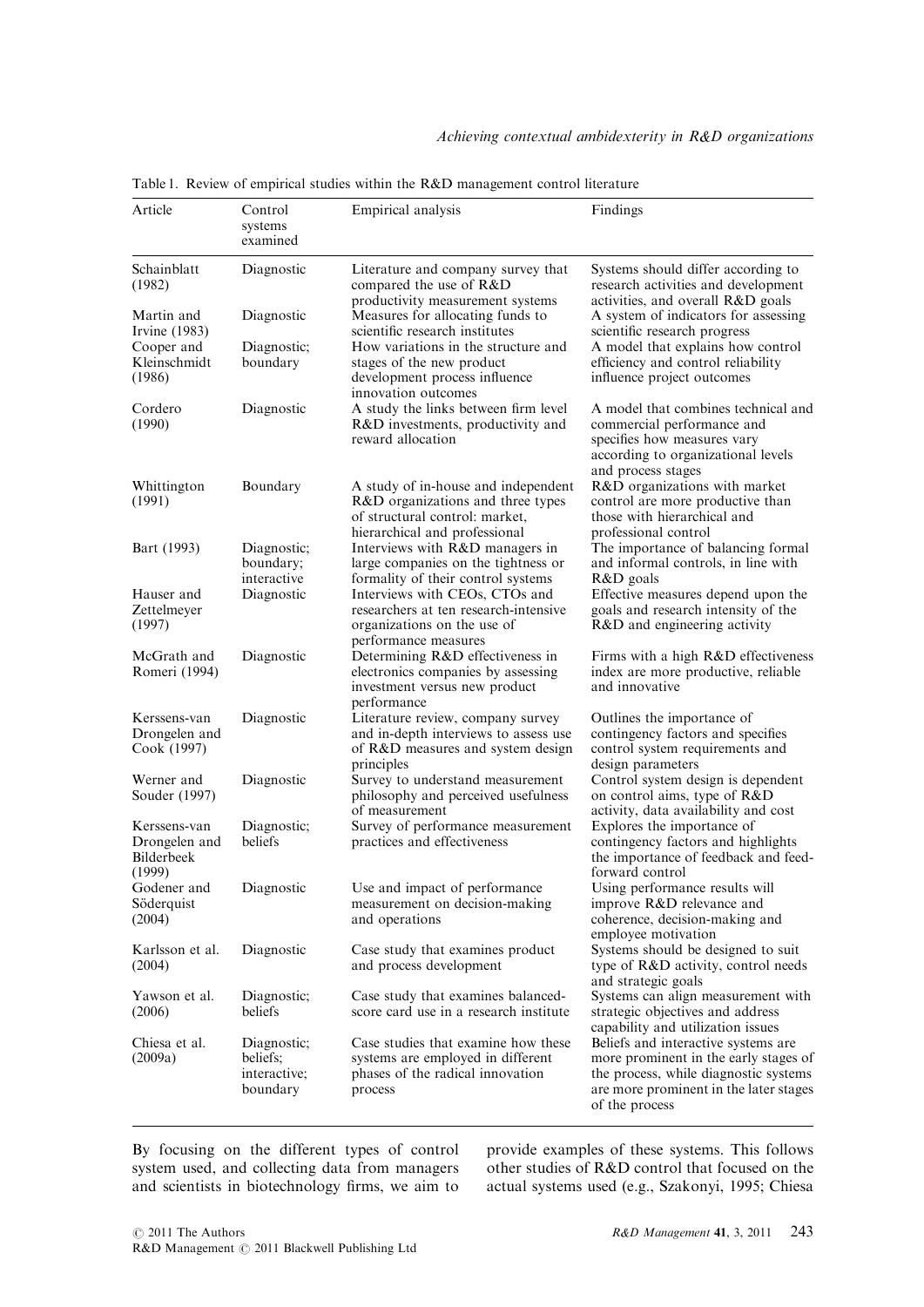| Article                                               | Control<br>systems<br>examined                      | Empirical analysis                                                                                                                          | Findings                                                                                                                                                                          |
|-------------------------------------------------------|-----------------------------------------------------|---------------------------------------------------------------------------------------------------------------------------------------------|-----------------------------------------------------------------------------------------------------------------------------------------------------------------------------------|
| Schainblatt<br>(1982)                                 | Diagnostic                                          | Literature and company survey that<br>compared the use of R&D<br>productivity measurement systems                                           | Systems should differ according to<br>research activities and development<br>activities, and overall R&D goals                                                                    |
| Martin and<br>Irvine $(1983)$                         | Diagnostic                                          | Measures for allocating funds to<br>scientific research institutes                                                                          | A system of indicators for assessing<br>scientific research progress                                                                                                              |
| Cooper and<br>Kleinschmidt<br>(1986)                  | Diagnostic;<br>boundary                             | How variations in the structure and<br>stages of the new product<br>development process influence<br>innovation outcomes                    | A model that explains how control<br>efficiency and control reliability<br>influence project outcomes                                                                             |
| Cordero<br>(1990)                                     | Diagnostic                                          | A study the links between firm level<br>R&D investments, productivity and<br>reward allocation                                              | A model that combines technical and<br>commercial performance and<br>specifies how measures vary<br>according to organizational levels<br>and process stages                      |
| Whittington<br>(1991)                                 | Boundary                                            | A study of in-house and independent<br>R&D organizations and three types<br>of structural control: market,<br>hierarchical and professional | R&D organizations with market<br>control are more productive than<br>those with hierarchical and<br>professional control                                                          |
| Bart (1993)                                           | Diagnostic;<br>boundary;<br>interactive             | Interviews with R&D managers in<br>large companies on the tightness or<br>formality of their control systems                                | The importance of balancing formal<br>and informal controls, in line with<br>R&D goals                                                                                            |
| Hauser and<br>Zettelmeyer<br>(1997)                   | Diagnostic                                          | Interviews with CEOs, CTOs and<br>researchers at ten research-intensive<br>organizations on the use of<br>performance measures              | Effective measures depend upon the<br>goals and research intensity of the<br>R&D and engineering activity                                                                         |
| McGrath and<br>Romeri (1994)                          | Diagnostic                                          | Determining R&D effectiveness in<br>electronics companies by assessing<br>investment versus new product<br>performance                      | Firms with a high R&D effectiveness<br>index are more productive, reliable<br>and innovative                                                                                      |
| Kerssens-van<br>Drongelen and<br>Cook (1997)          | Diagnostic                                          | Literature review, company survey<br>and in-depth interviews to assess use<br>of R&D measures and system design<br>principles               | Outlines the importance of<br>contingency factors and specifies<br>control system requirements and<br>design parameters                                                           |
| Werner and<br>Souder (1997)                           | Diagnostic                                          | Survey to understand measurement<br>philosophy and perceived usefulness<br>of measurement                                                   | Control system design is dependent<br>on control aims, type of R&D<br>activity, data availability and cost                                                                        |
| Kerssens-van<br>Drongelen and<br>Bilderbeek<br>(1999) | Diagnostic;<br>beliefs                              | Survey of performance measurement<br>practices and effectiveness                                                                            | Explores the importance of<br>contingency factors and highlights<br>the importance of feedback and feed-<br>forward control                                                       |
| Godener and<br>Söderquist<br>(2004)                   | Diagnostic                                          | Use and impact of performance<br>measurement on decision-making<br>and operations                                                           | Using performance results will<br>improve R&D relevance and<br>coherence, decision-making and<br>employee motivation                                                              |
| Karlsson et al.<br>(2004)                             | Diagnostic                                          | Case study that examines product<br>and process development                                                                                 | Systems should be designed to suit<br>type of R&D activity, control needs<br>and strategic goals                                                                                  |
| Yawson et al.<br>(2006)                               | Diagnostic;<br>beliefs                              | Case study that examines balanced-<br>score card use in a research institute                                                                | Systems can align measurement with<br>strategic objectives and address<br>capability and utilization issues                                                                       |
| Chiesa et al.<br>(2009a)                              | Diagnostic;<br>beliefs;<br>interactive;<br>boundary | Case studies that examine how these<br>systems are employed in different<br>phases of the radical innovation<br>process                     | Beliefs and interactive systems are<br>more prominent in the early stages of<br>the process, while diagnostic systems<br>are more prominent in the later stages<br>of the process |

Table 1. Review of empirical studies within the  $R\&D$  management control literature

By focusing on the different types of control system used, and collecting data from managers and scientists in biotechnology firms, we aim to provide examples of these systems. This follows other studies of R&D control that focused on the actual systems used (e.g., Szakonyi, 1995; Chiesa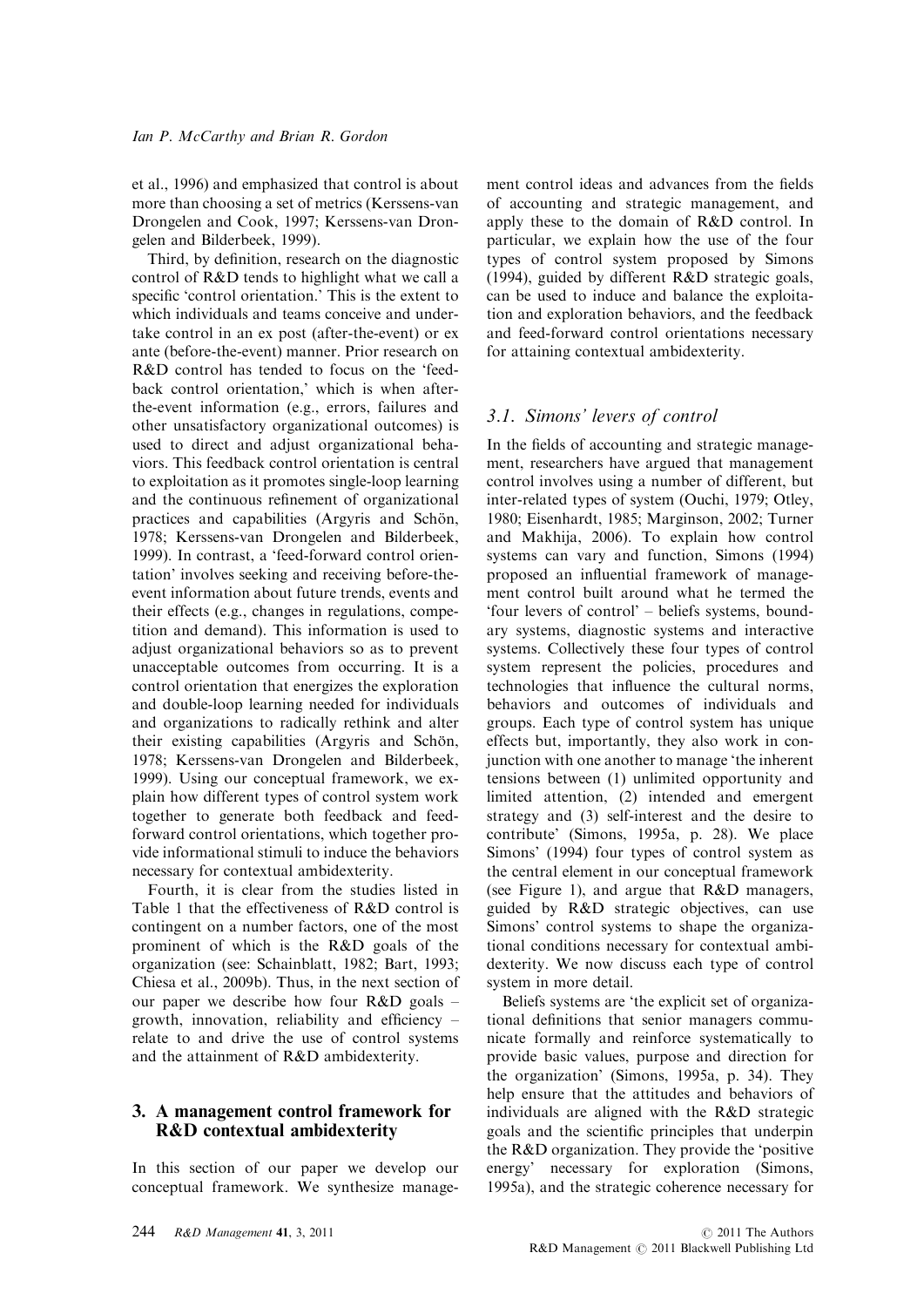et al., 1996) and emphasized that control is about more than choosing a set of metrics (Kerssens-van Drongelen and Cook, 1997; Kerssens-van Drongelen and Bilderbeek, 1999).

Third, by definition, research on the diagnostic control of R&D tends to highlight what we call a specific 'control orientation.' This is the extent to which individuals and teams conceive and undertake control in an ex post (after-the-event) or ex ante (before-the-event) manner. Prior research on R&D control has tended to focus on the 'feedback control orientation,' which is when afterthe-event information (e.g., errors, failures and other unsatisfactory organizational outcomes) is used to direct and adjust organizational behaviors. This feedback control orientation is central to exploitation as it promotes single-loop learning and the continuous refinement of organizational practices and capabilities (Argyris and Schön, 1978; Kerssens-van Drongelen and Bilderbeek, 1999). In contrast, a 'feed-forward control orientation' involves seeking and receiving before-theevent information about future trends, events and their effects (e.g., changes in regulations, competition and demand). This information is used to adjust organizational behaviors so as to prevent unacceptable outcomes from occurring. It is a control orientation that energizes the exploration and double-loop learning needed for individuals and organizations to radically rethink and alter their existing capabilities (Argyris and Schön, 1978; Kerssens-van Drongelen and Bilderbeek, 1999). Using our conceptual framework, we explain how different types of control system work together to generate both feedback and feedforward control orientations, which together provide informational stimuli to induce the behaviors necessary for contextual ambidexterity.

Fourth, it is clear from the studies listed in Table 1 that the effectiveness of R&D control is contingent on a number factors, one of the most prominent of which is the R&D goals of the organization (see: Schainblatt, 1982; Bart, 1993; Chiesa et al., 2009b). Thus, in the next section of our paper we describe how four R&D goals – growth, innovation, reliability and efficiency – relate to and drive the use of control systems and the attainment of R&D ambidexterity.

# 3. A management control framework for R&D contextual ambidexterity

In this section of our paper we develop our conceptual framework. We synthesize management control ideas and advances from the fields of accounting and strategic management, and apply these to the domain of R&D control. In particular, we explain how the use of the four types of control system proposed by Simons (1994), guided by different R&D strategic goals, can be used to induce and balance the exploitation and exploration behaviors, and the feedback and feed-forward control orientations necessary for attaining contextual ambidexterity.

# 3.1. Simons' levers of control

In the fields of accounting and strategic management, researchers have argued that management control involves using a number of different, but inter-related types of system (Ouchi, 1979; Otley, 1980; Eisenhardt, 1985; Marginson, 2002; Turner and Makhija, 2006). To explain how control systems can vary and function, Simons (1994) proposed an influential framework of management control built around what he termed the 'four levers of control' – beliefs systems, boundary systems, diagnostic systems and interactive systems. Collectively these four types of control system represent the policies, procedures and technologies that influence the cultural norms, behaviors and outcomes of individuals and groups. Each type of control system has unique effects but, importantly, they also work in conjunction with one another to manage 'the inherent tensions between (1) unlimited opportunity and limited attention, (2) intended and emergent strategy and (3) self-interest and the desire to contribute' (Simons, 1995a, p. 28). We place Simons' (1994) four types of control system as the central element in our conceptual framework (see Figure 1), and argue that R&D managers, guided by R&D strategic objectives, can use Simons' control systems to shape the organizational conditions necessary for contextual ambidexterity. We now discuss each type of control system in more detail.

Beliefs systems are 'the explicit set of organizational definitions that senior managers communicate formally and reinforce systematically to provide basic values, purpose and direction for the organization' (Simons, 1995a, p. 34). They help ensure that the attitudes and behaviors of individuals are aligned with the R&D strategic goals and the scientific principles that underpin the R&D organization. They provide the 'positive energy' necessary for exploration (Simons, 1995a), and the strategic coherence necessary for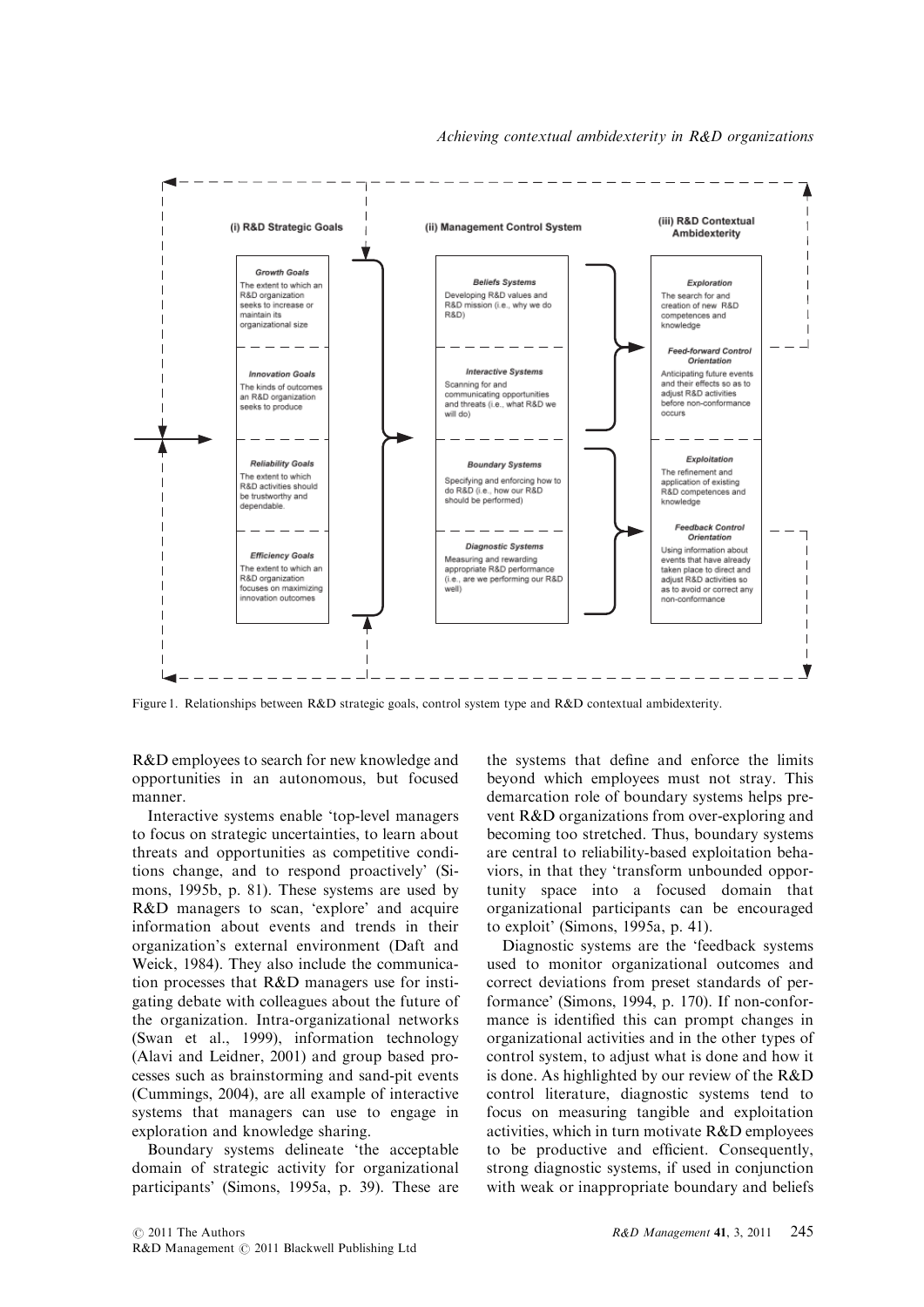

Achieving contextual ambidexterity in R&D organizations

Figure 1. Relationships between R&D strategic goals, control system type and R&D contextual ambidexterity.

R&D employees to search for new knowledge and opportunities in an autonomous, but focused manner.

Interactive systems enable 'top-level managers to focus on strategic uncertainties, to learn about threats and opportunities as competitive conditions change, and to respond proactively' (Simons, 1995b, p. 81). These systems are used by R&D managers to scan, 'explore' and acquire information about events and trends in their organization's external environment (Daft and Weick, 1984). They also include the communication processes that R&D managers use for instigating debate with colleagues about the future of the organization. Intra-organizational networks (Swan et al., 1999), information technology (Alavi and Leidner, 2001) and group based processes such as brainstorming and sand-pit events (Cummings, 2004), are all example of interactive systems that managers can use to engage in exploration and knowledge sharing.

Boundary systems delineate 'the acceptable domain of strategic activity for organizational participants' (Simons, 1995a, p. 39). These are

the systems that define and enforce the limits beyond which employees must not stray. This demarcation role of boundary systems helps prevent R&D organizations from over-exploring and becoming too stretched. Thus, boundary systems are central to reliability-based exploitation behaviors, in that they 'transform unbounded opportunity space into a focused domain that organizational participants can be encouraged to exploit' (Simons, 1995a, p. 41).

Diagnostic systems are the 'feedback systems used to monitor organizational outcomes and correct deviations from preset standards of performance' (Simons, 1994, p. 170). If non-conformance is identified this can prompt changes in organizational activities and in the other types of control system, to adjust what is done and how it is done. As highlighted by our review of the R&D control literature, diagnostic systems tend to focus on measuring tangible and exploitation activities, which in turn motivate R&D employees to be productive and efficient. Consequently, strong diagnostic systems, if used in conjunction with weak or inappropriate boundary and beliefs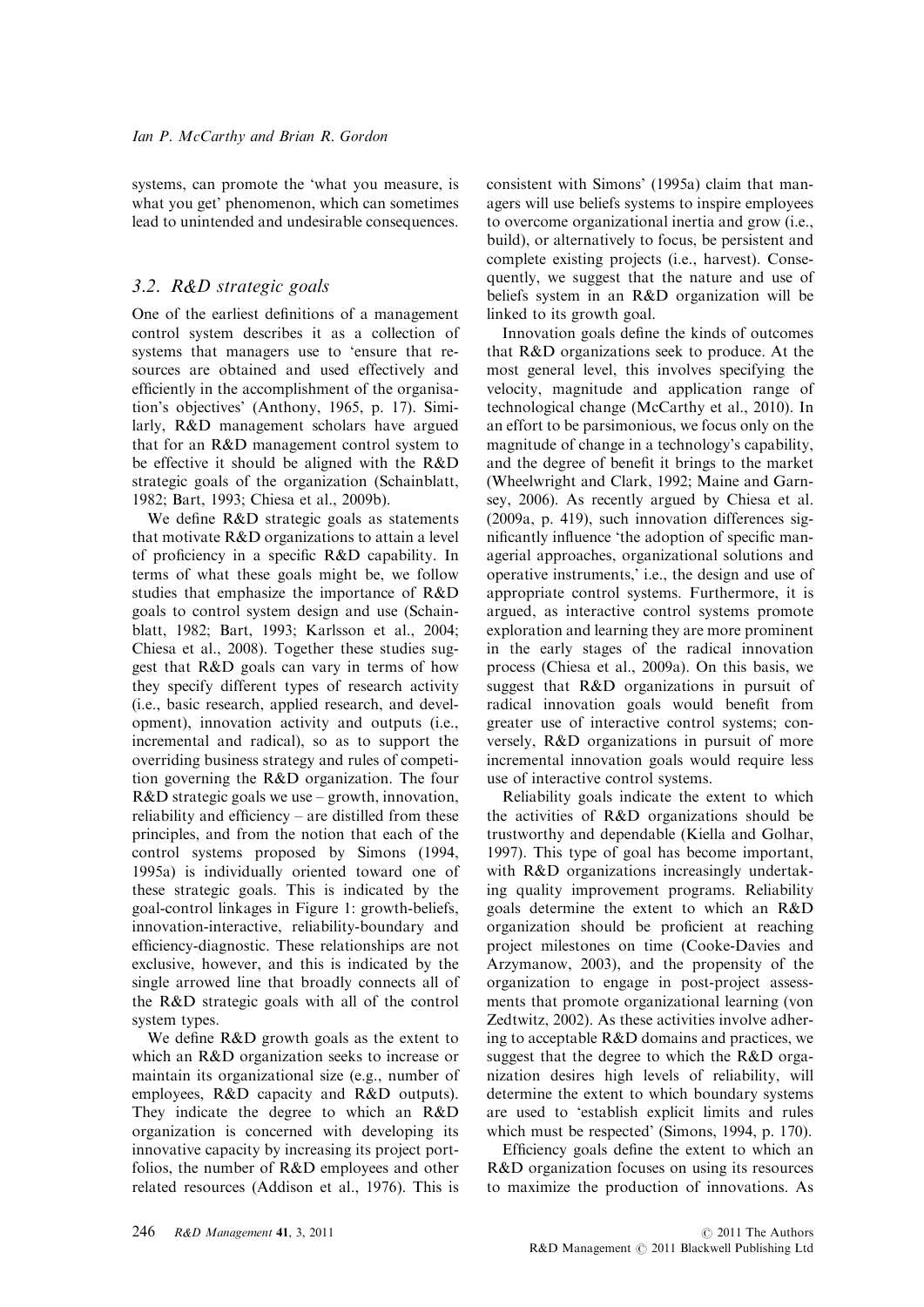systems, can promote the 'what you measure, is what you get' phenomenon, which can sometimes lead to unintended and undesirable consequences.

# 3.2. R&D strategic goals

One of the earliest definitions of a management control system describes it as a collection of systems that managers use to 'ensure that resources are obtained and used effectively and efficiently in the accomplishment of the organisation's objectives' (Anthony, 1965, p. 17). Similarly, R&D management scholars have argued that for an R&D management control system to be effective it should be aligned with the R&D strategic goals of the organization (Schainblatt, 1982; Bart, 1993; Chiesa et al., 2009b).

We define R&D strategic goals as statements that motivate R&D organizations to attain a level of proficiency in a specific R&D capability. In terms of what these goals might be, we follow studies that emphasize the importance of R&D goals to control system design and use (Schainblatt, 1982; Bart, 1993; Karlsson et al., 2004; Chiesa et al., 2008). Together these studies suggest that R&D goals can vary in terms of how they specify different types of research activity (i.e., basic research, applied research, and development), innovation activity and outputs (i.e., incremental and radical), so as to support the overriding business strategy and rules of competition governing the R&D organization. The four R&D strategic goals we use – growth, innovation, reliability and efficiency – are distilled from these principles, and from the notion that each of the control systems proposed by Simons (1994, 1995a) is individually oriented toward one of these strategic goals. This is indicated by the goal-control linkages in Figure 1: growth-beliefs, innovation-interactive, reliability-boundary and efficiency-diagnostic. These relationships are not exclusive, however, and this is indicated by the single arrowed line that broadly connects all of the R&D strategic goals with all of the control system types.

We define R&D growth goals as the extent to which an R&D organization seeks to increase or maintain its organizational size (e.g., number of employees, R&D capacity and R&D outputs). They indicate the degree to which an R&D organization is concerned with developing its innovative capacity by increasing its project portfolios, the number of R&D employees and other related resources (Addison et al., 1976). This is

consistent with Simons' (1995a) claim that managers will use beliefs systems to inspire employees to overcome organizational inertia and grow (i.e., build), or alternatively to focus, be persistent and complete existing projects (i.e., harvest). Consequently, we suggest that the nature and use of beliefs system in an R&D organization will be linked to its growth goal.

Innovation goals define the kinds of outcomes that R&D organizations seek to produce. At the most general level, this involves specifying the velocity, magnitude and application range of technological change (McCarthy et al., 2010). In an effort to be parsimonious, we focus only on the magnitude of change in a technology's capability, and the degree of benefit it brings to the market (Wheelwright and Clark, 1992; Maine and Garnsey, 2006). As recently argued by Chiesa et al. (2009a, p. 419), such innovation differences significantly influence 'the adoption of specific managerial approaches, organizational solutions and operative instruments,' i.e., the design and use of appropriate control systems. Furthermore, it is argued, as interactive control systems promote exploration and learning they are more prominent in the early stages of the radical innovation process (Chiesa et al., 2009a). On this basis, we suggest that R&D organizations in pursuit of radical innovation goals would benefit from greater use of interactive control systems; conversely, R&D organizations in pursuit of more incremental innovation goals would require less use of interactive control systems.

Reliability goals indicate the extent to which the activities of R&D organizations should be trustworthy and dependable (Kiella and Golhar, 1997). This type of goal has become important, with R&D organizations increasingly undertaking quality improvement programs. Reliability goals determine the extent to which an R&D organization should be proficient at reaching project milestones on time (Cooke-Davies and Arzymanow, 2003), and the propensity of the organization to engage in post-project assessments that promote organizational learning (von Zedtwitz, 2002). As these activities involve adhering to acceptable R&D domains and practices, we suggest that the degree to which the R&D organization desires high levels of reliability, will determine the extent to which boundary systems are used to 'establish explicit limits and rules which must be respected' (Simons, 1994, p. 170).

Efficiency goals define the extent to which an R&D organization focuses on using its resources to maximize the production of innovations. As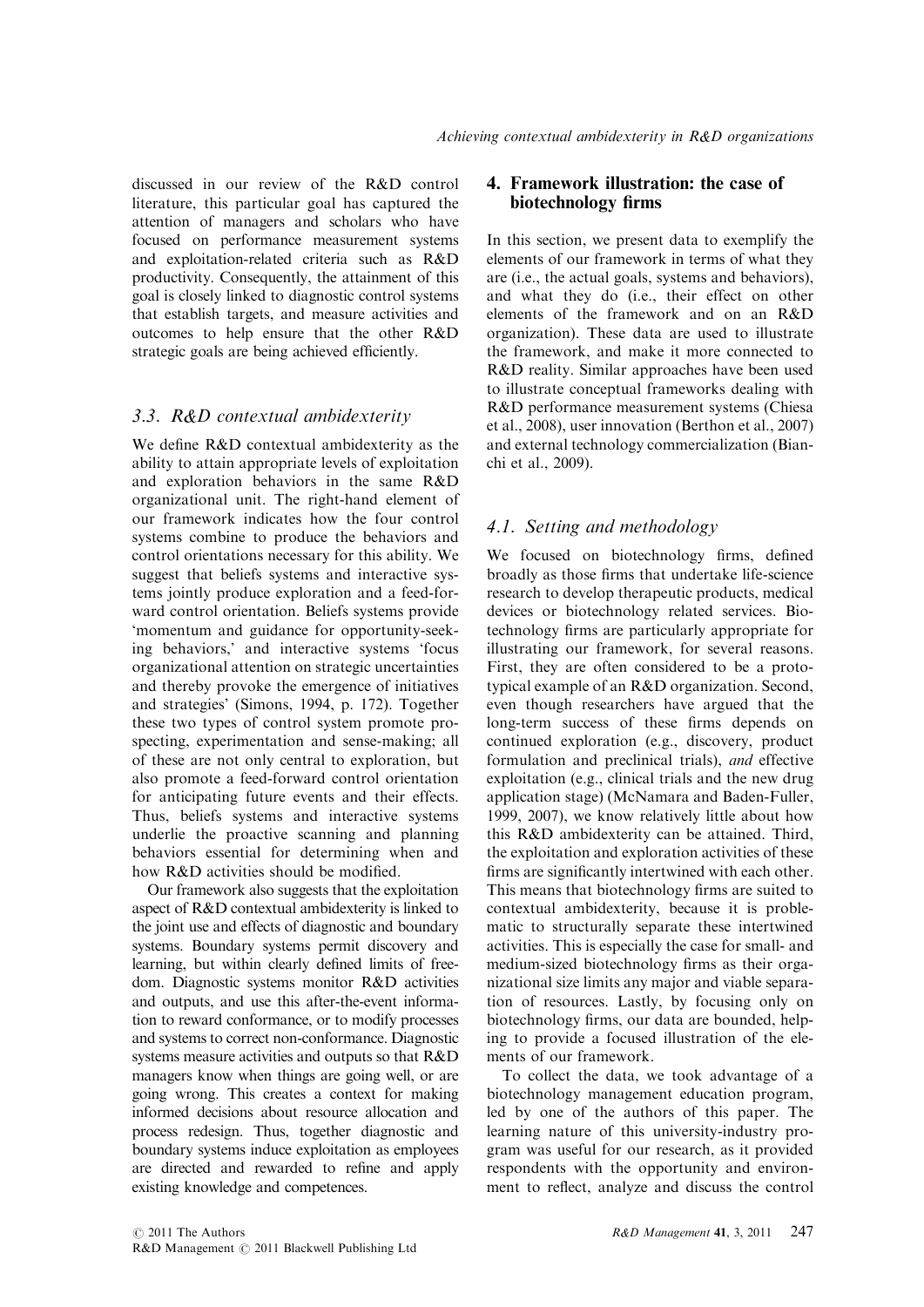discussed in our review of the R&D control literature, this particular goal has captured the attention of managers and scholars who have focused on performance measurement systems and exploitation-related criteria such as R&D productivity. Consequently, the attainment of this goal is closely linked to diagnostic control systems that establish targets, and measure activities and outcomes to help ensure that the other R&D strategic goals are being achieved efficiently.

# 3.3. R&D contextual ambidexterity

We define R&D contextual ambidexterity as the ability to attain appropriate levels of exploitation and exploration behaviors in the same R&D organizational unit. The right-hand element of our framework indicates how the four control systems combine to produce the behaviors and control orientations necessary for this ability. We suggest that beliefs systems and interactive systems jointly produce exploration and a feed-forward control orientation. Beliefs systems provide 'momentum and guidance for opportunity-seeking behaviors,' and interactive systems 'focus organizational attention on strategic uncertainties and thereby provoke the emergence of initiatives and strategies' (Simons, 1994, p. 172). Together these two types of control system promote prospecting, experimentation and sense-making; all of these are not only central to exploration, but also promote a feed-forward control orientation for anticipating future events and their effects. Thus, beliefs systems and interactive systems underlie the proactive scanning and planning behaviors essential for determining when and how R&D activities should be modified.

Our framework also suggests that the exploitation aspect of R&D contextual ambidexterity is linked to the joint use and effects of diagnostic and boundary systems. Boundary systems permit discovery and learning, but within clearly defined limits of freedom. Diagnostic systems monitor R&D activities and outputs, and use this after-the-event information to reward conformance, or to modify processes and systems to correct non-conformance. Diagnostic systems measure activities and outputs so that R&D managers know when things are going well, or are going wrong. This creates a context for making informed decisions about resource allocation and process redesign. Thus, together diagnostic and boundary systems induce exploitation as employees are directed and rewarded to refine and apply existing knowledge and competences.

# 4. Framework illustration: the case of biotechnology firms

In this section, we present data to exemplify the elements of our framework in terms of what they are (i.e., the actual goals, systems and behaviors), and what they do (i.e., their effect on other elements of the framework and on an R&D organization). These data are used to illustrate the framework, and make it more connected to R&D reality. Similar approaches have been used to illustrate conceptual frameworks dealing with R&D performance measurement systems (Chiesa et al., 2008), user innovation (Berthon et al., 2007) and external technology commercialization (Bianchi et al., 2009).

# 4.1. Setting and methodology

We focused on biotechnology firms, defined broadly as those firms that undertake life-science research to develop therapeutic products, medical devices or biotechnology related services. Biotechnology firms are particularly appropriate for illustrating our framework, for several reasons. First, they are often considered to be a prototypical example of an R&D organization. Second, even though researchers have argued that the long-term success of these firms depends on continued exploration (e.g., discovery, product formulation and preclinical trials), and effective exploitation (e.g., clinical trials and the new drug application stage) (McNamara and Baden-Fuller, 1999, 2007), we know relatively little about how this R&D ambidexterity can be attained. Third, the exploitation and exploration activities of these firms are significantly intertwined with each other. This means that biotechnology firms are suited to contextual ambidexterity, because it is problematic to structurally separate these intertwined activities. This is especially the case for small- and medium-sized biotechnology firms as their organizational size limits any major and viable separation of resources. Lastly, by focusing only on biotechnology firms, our data are bounded, helping to provide a focused illustration of the elements of our framework.

To collect the data, we took advantage of a biotechnology management education program, led by one of the authors of this paper. The learning nature of this university-industry program was useful for our research, as it provided respondents with the opportunity and environment to reflect, analyze and discuss the control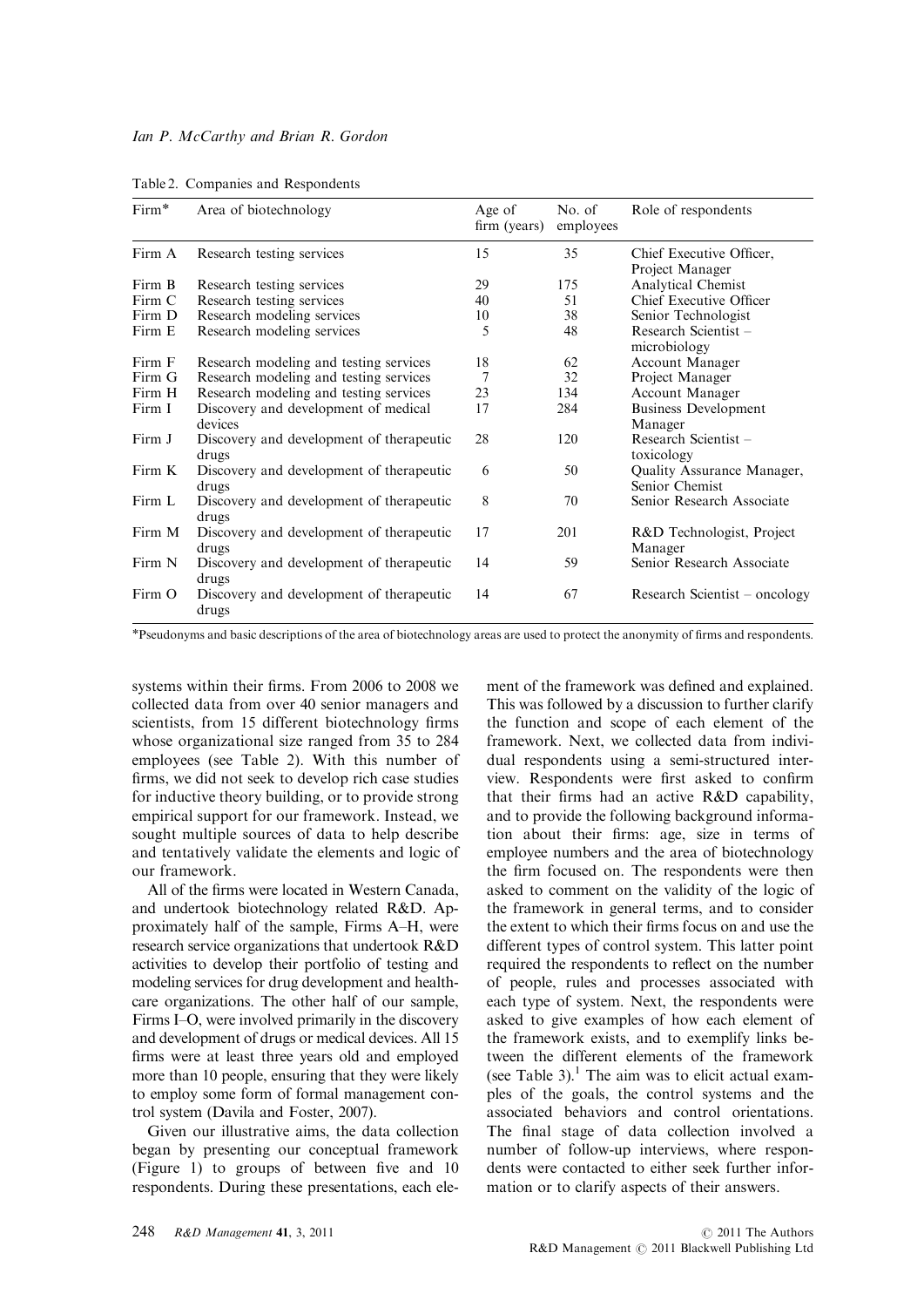#### Ian P. McCarthy and Brian R. Gordon

| $Firm*$ | Area of biotechnology                              | Age of<br>firm (years) | No. of<br>employees | Role of respondents                          |
|---------|----------------------------------------------------|------------------------|---------------------|----------------------------------------------|
| Firm A  | Research testing services                          | 15                     | 35                  | Chief Executive Officer,<br>Project Manager  |
| Firm B  | Research testing services                          | 29                     | 175                 | Analytical Chemist                           |
| Firm C  | Research testing services                          | 40                     | 51                  | Chief Executive Officer                      |
| Firm D  | Research modeling services                         | 10                     | 38                  | Senior Technologist                          |
| Firm E  | Research modeling services                         | 5                      | 48                  | Research Scientist -<br>microbiology         |
| Firm F  | Research modeling and testing services             | 18                     | 62                  | Account Manager                              |
| Firm G  | Research modeling and testing services             | 7                      | 32                  | Project Manager                              |
| Firm H  | Research modeling and testing services             | 23                     | 134                 | Account Manager                              |
| Firm I  | Discovery and development of medical<br>devices    | 17                     | 284                 | <b>Business Development</b><br>Manager       |
| Firm J  | Discovery and development of the rapeutic<br>drugs | 28                     | 120                 | Research Scientist -<br>toxicology           |
| Firm K  | Discovery and development of the rapeutic<br>drugs | 6                      | 50                  | Quality Assurance Manager,<br>Senior Chemist |
| Firm L  | Discovery and development of the rapeutic<br>drugs | 8                      | 70                  | Senior Research Associate                    |
| Firm M  | Discovery and development of the rapeutic<br>drugs | 17                     | 201                 | R&D Technologist, Project<br>Manager         |
| Firm N  | Discovery and development of the rapeutic<br>drugs | 14                     | 59                  | Senior Research Associate                    |
| Firm O  | Discovery and development of the rapeutic<br>drugs | 14                     | 67                  | Research Scientist – oncology                |

Table 2. Companies and Respondents

\*Pseudonyms and basic descriptions of the area of biotechnology areas are used to protect the anonymity of firms and respondents.

systems within their firms. From 2006 to 2008 we collected data from over 40 senior managers and scientists, from 15 different biotechnology firms whose organizational size ranged from 35 to 284 employees (see Table 2). With this number of firms, we did not seek to develop rich case studies for inductive theory building, or to provide strong empirical support for our framework. Instead, we sought multiple sources of data to help describe and tentatively validate the elements and logic of our framework.

All of the firms were located in Western Canada, and undertook biotechnology related R&D. Approximately half of the sample, Firms A–H, were research service organizations that undertook R&D activities to develop their portfolio of testing and modeling services for drug development and healthcare organizations. The other half of our sample, Firms I–O, were involved primarily in the discovery and development of drugs or medical devices. All 15 firms were at least three years old and employed more than 10 people, ensuring that they were likely to employ some form of formal management control system (Davila and Foster, 2007).

Given our illustrative aims, the data collection began by presenting our conceptual framework (Figure 1) to groups of between five and 10 respondents. During these presentations, each element of the framework was defined and explained. This was followed by a discussion to further clarify the function and scope of each element of the framework. Next, we collected data from individual respondents using a semi-structured interview. Respondents were first asked to confirm that their firms had an active R&D capability, and to provide the following background information about their firms: age, size in terms of employee numbers and the area of biotechnology the firm focused on. The respondents were then asked to comment on the validity of the logic of the framework in general terms, and to consider the extent to which their firms focus on and use the different types of control system. This latter point required the respondents to reflect on the number of people, rules and processes associated with each type of system. Next, the respondents were asked to give examples of how each element of the framework exists, and to exemplify links between the different elements of the framework (see Table 3).<sup>1</sup> The aim was to elicit actual examples of the goals, the control systems and the associated behaviors and control orientations. The final stage of data collection involved a number of follow-up interviews, where respondents were contacted to either seek further information or to clarify aspects of their answers.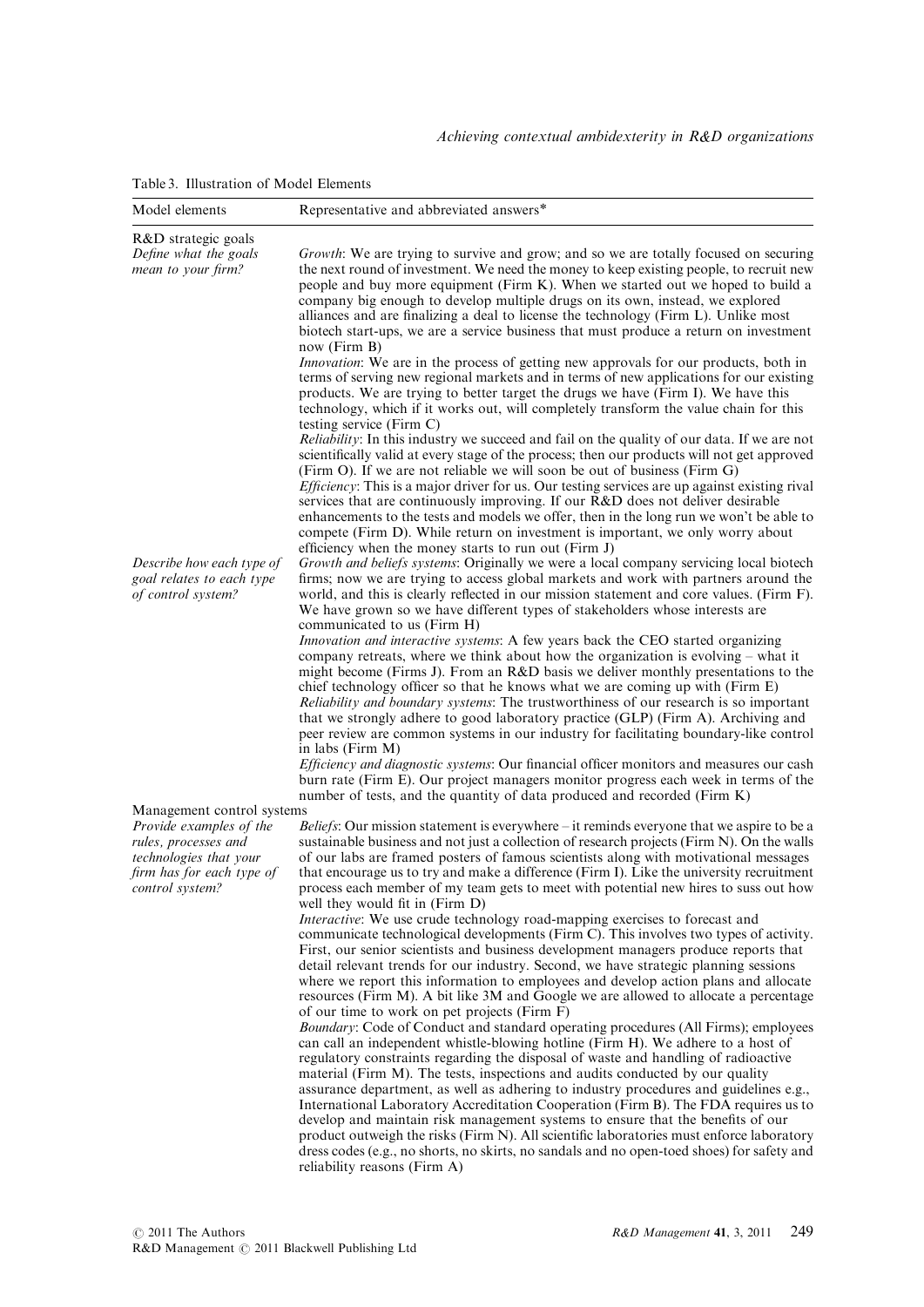|  | Table 3. Illustration of Model Elements |  |  |
|--|-----------------------------------------|--|--|
|--|-----------------------------------------|--|--|

| Model elements                                                                                                            | Representative and abbreviated answers*                                                                                                                                                                                                                                                                                                                                                                                                                                                                                                                                                                                                                                                                                                                                                                                                                                                                                             |
|---------------------------------------------------------------------------------------------------------------------------|-------------------------------------------------------------------------------------------------------------------------------------------------------------------------------------------------------------------------------------------------------------------------------------------------------------------------------------------------------------------------------------------------------------------------------------------------------------------------------------------------------------------------------------------------------------------------------------------------------------------------------------------------------------------------------------------------------------------------------------------------------------------------------------------------------------------------------------------------------------------------------------------------------------------------------------|
| R&D strategic goals<br>Define what the goals<br>mean to your firm?                                                        | Growth: We are trying to survive and grow; and so we are totally focused on securing<br>the next round of investment. We need the money to keep existing people, to recruit new<br>people and buy more equipment (Firm K). When we started out we hoped to build a<br>company big enough to develop multiple drugs on its own, instead, we explored<br>alliances and are finalizing a deal to license the technology (Firm L). Unlike most<br>biotech start-ups, we are a service business that must produce a return on investment<br>$now$ (Firm B)                                                                                                                                                                                                                                                                                                                                                                               |
|                                                                                                                           | <i>Innovation</i> : We are in the process of getting new approvals for our products, both in<br>terms of serving new regional markets and in terms of new applications for our existing<br>products. We are trying to better target the drugs we have (Firm I). We have this<br>technology, which if it works out, will completely transform the value chain for this<br>testing service (Firm C)<br><i>Reliability:</i> In this industry we succeed and fail on the quality of our data. If we are not<br>scientifically valid at every stage of the process; then our products will not get approved<br>(Firm O). If we are not reliable we will soon be out of business (Firm G)<br><i>Efficiency</i> : This is a major driver for us. Our testing services are up against existing rival                                                                                                                                        |
| Describe how each type of<br>goal relates to each type<br>of control system?                                              | services that are continuously improving. If our R&D does not deliver desirable<br>enhancements to the tests and models we offer, then in the long run we won't be able to<br>compete (Firm D). While return on investment is important, we only worry about<br>efficiency when the money starts to run out (Firm J)<br>Growth and beliefs systems: Originally we were a local company servicing local biotech<br>firms; now we are trying to access global markets and work with partners around the<br>world, and this is clearly reflected in our mission statement and core values. (Firm F).                                                                                                                                                                                                                                                                                                                                   |
|                                                                                                                           | We have grown so we have different types of stakeholders whose interests are<br>communicated to us (Firm H)<br>Innovation and interactive systems: A few years back the CEO started organizing<br>company retreats, where we think about how the organization is evolving $-$ what it<br>might become (Firms J). From an R&D basis we deliver monthly presentations to the<br>chief technology officer so that he knows what we are coming up with (Firm E)<br>Reliability and boundary systems: The trustworthiness of our research is so important<br>that we strongly adhere to good laboratory practice (GLP) (Firm A). Archiving and<br>peer review are common systems in our industry for facilitating boundary-like control<br>in labs (Firm M)                                                                                                                                                                              |
|                                                                                                                           | Efficiency and diagnostic systems: Our financial officer monitors and measures our cash<br>burn rate (Firm E). Our project managers monitor progress each week in terms of the<br>number of tests, and the quantity of data produced and recorded (Firm K)                                                                                                                                                                                                                                                                                                                                                                                                                                                                                                                                                                                                                                                                          |
| Management control systems                                                                                                |                                                                                                                                                                                                                                                                                                                                                                                                                                                                                                                                                                                                                                                                                                                                                                                                                                                                                                                                     |
| Provide examples of the<br>rules, processes and<br>technologies that your<br>firm has for each type of<br>control system? | <i>Beliefs</i> : Our mission statement is everywhere $-$ it reminds everyone that we aspire to be a<br>sustainable business and not just a collection of research projects (Firm N). On the walls<br>of our labs are framed posters of famous scientists along with motivational messages<br>that encourage us to try and make a difference (Firm I). Like the university recruitment<br>process each member of my team gets to meet with potential new hires to suss out how<br>well they would fit in (Firm D)                                                                                                                                                                                                                                                                                                                                                                                                                    |
|                                                                                                                           | Interactive: We use crude technology road-mapping exercises to forecast and<br>communicate technological developments (Firm C). This involves two types of activity.<br>First, our senior scientists and business development managers produce reports that<br>detail relevant trends for our industry. Second, we have strategic planning sessions<br>where we report this information to employees and develop action plans and allocate<br>resources (Firm M). A bit like 3M and Google we are allowed to allocate a percentage<br>of our time to work on pet projects (Firm F)<br>Boundary: Code of Conduct and standard operating procedures (All Firms); employees<br>can call an independent whistle-blowing hotline (Firm H). We adhere to a host of<br>regulatory constraints regarding the disposal of waste and handling of radioactive<br>material (Firm M). The tests, inspections and audits conducted by our quality |
|                                                                                                                           | assurance department, as well as adhering to industry procedures and guidelines e.g.,<br>International Laboratory Accreditation Cooperation (Firm B). The FDA requires us to<br>develop and maintain risk management systems to ensure that the benefits of our<br>product outweigh the risks (Firm N). All scientific laboratories must enforce laboratory<br>dress codes (e.g., no shorts, no skirts, no sandals and no open-toed shoes) for safety and<br>reliability reasons (Firm A)                                                                                                                                                                                                                                                                                                                                                                                                                                           |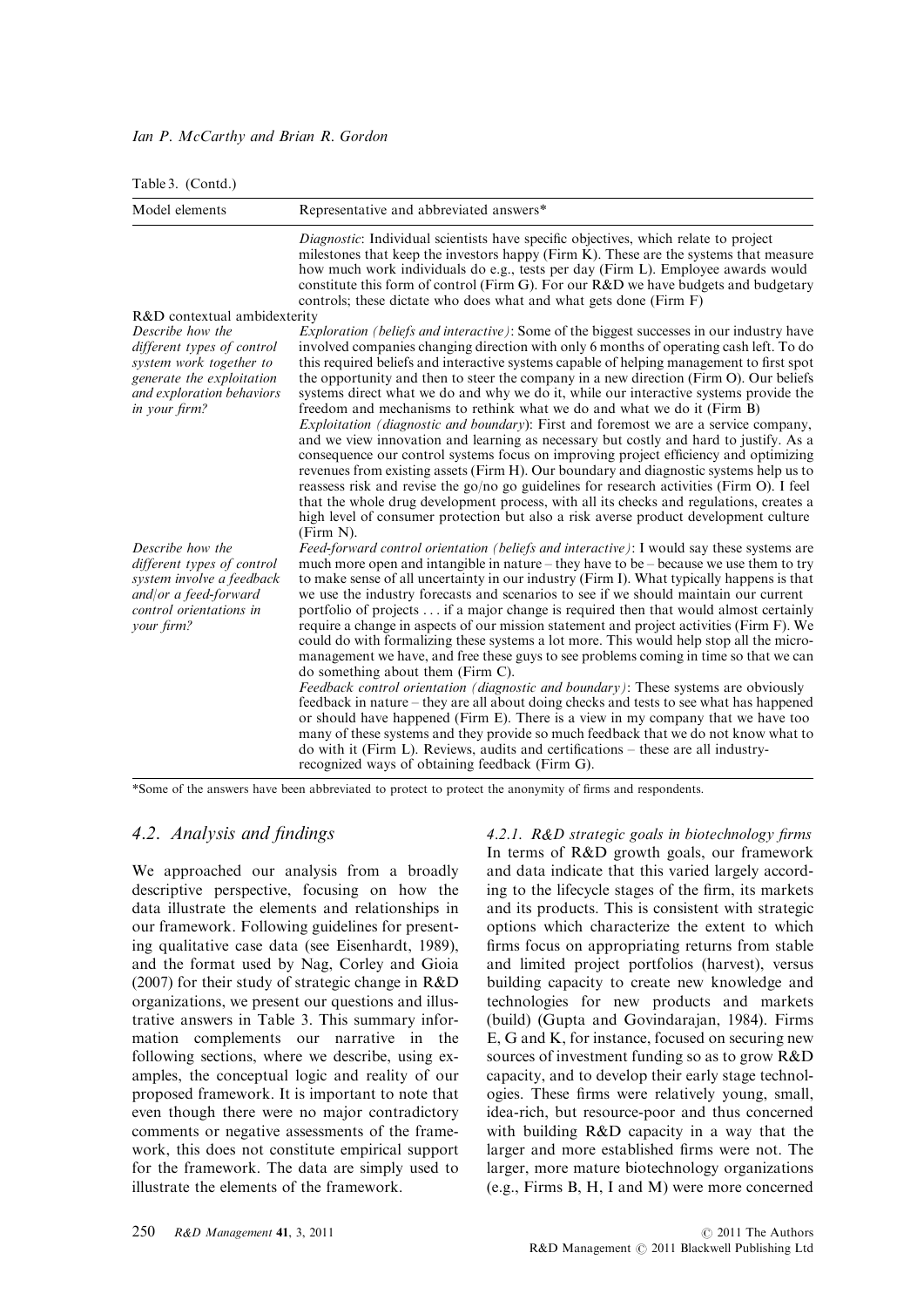| Table 3. (Contd.) |
|-------------------|
|-------------------|

| Model elements                                                                                                                                       | Representative and abbreviated answers*                                                                                                                                                                                                                                                                                                                                                                                                                                                                                                                                                                                                                                                                                                                                                                                                                                                                                                                                                                                                                                                                                                                                                                                                                                                                         |
|------------------------------------------------------------------------------------------------------------------------------------------------------|-----------------------------------------------------------------------------------------------------------------------------------------------------------------------------------------------------------------------------------------------------------------------------------------------------------------------------------------------------------------------------------------------------------------------------------------------------------------------------------------------------------------------------------------------------------------------------------------------------------------------------------------------------------------------------------------------------------------------------------------------------------------------------------------------------------------------------------------------------------------------------------------------------------------------------------------------------------------------------------------------------------------------------------------------------------------------------------------------------------------------------------------------------------------------------------------------------------------------------------------------------------------------------------------------------------------|
|                                                                                                                                                      | <i>Diagnostic</i> : Individual scientists have specific objectives, which relate to project<br>milestones that keep the investors happy (Firm K). These are the systems that measure<br>how much work individuals do e.g., tests per day (Firm L). Employee awards would<br>constitute this form of control (Firm G). For our R&D we have budgets and budgetary<br>controls; these dictate who does what and what gets done (Firm F)                                                                                                                                                                                                                                                                                                                                                                                                                                                                                                                                                                                                                                                                                                                                                                                                                                                                            |
| R&D contextual ambidexterity                                                                                                                         |                                                                                                                                                                                                                                                                                                                                                                                                                                                                                                                                                                                                                                                                                                                                                                                                                                                                                                                                                                                                                                                                                                                                                                                                                                                                                                                 |
| Describe how the<br>different types of control<br>system work together to<br>generate the exploitation<br>and exploration behaviors<br>in your firm? | <i>Exploration (beliefs and interactive)</i> : Some of the biggest successes in our industry have<br>involved companies changing direction with only 6 months of operating cash left. To do<br>this required beliefs and interactive systems capable of helping management to first spot<br>the opportunity and then to steer the company in a new direction (Firm O). Our beliefs<br>systems direct what we do and why we do it, while our interactive systems provide the<br>freedom and mechanisms to rethink what we do and what we do it (Firm B)<br><i>Exploitation (diagnostic and boundary)</i> : First and foremost we are a service company,<br>and we view innovation and learning as necessary but costly and hard to justify. As a<br>consequence our control systems focus on improving project efficiency and optimizing<br>revenues from existing assets (Firm H). Our boundary and diagnostic systems help us to<br>reassess risk and revise the go/no go guidelines for research activities (Firm O). I feel<br>that the whole drug development process, with all its checks and regulations, creates a<br>high level of consumer protection but also a risk averse product development culture                                                                                               |
| Describe how the<br>different types of control<br>system involve a feedback<br>$and/or a feed-forward$<br>control orientations in<br>your firm?      | (Firm N).<br>Feed-forward control orientation (beliefs and interactive): I would say these systems are<br>much more open and intangible in nature – they have to be – because we use them to try<br>to make sense of all uncertainty in our industry (Firm I). What typically happens is that<br>we use the industry forecasts and scenarios to see if we should maintain our current<br>portfolio of projects if a major change is required then that would almost certainly<br>require a change in aspects of our mission statement and project activities (Firm F). We<br>could do with formalizing these systems a lot more. This would help stop all the micro-<br>management we have, and free these guys to see problems coming in time so that we can<br>do something about them (Firm C).<br><i>Feedback control orientation (diagnostic and boundary)</i> : These systems are obviously<br>feedback in nature – they are all about doing checks and tests to see what has happened<br>or should have happened (Firm E). There is a view in my company that we have too<br>many of these systems and they provide so much feedback that we do not know what to<br>do with it (Firm L). Reviews, audits and certifications – these are all industry-<br>recognized ways of obtaining feedback (Firm G). |

\*Some of the answers have been abbreviated to protect to protect the anonymity of firms and respondents.

# 4.2. Analysis and findings

We approached our analysis from a broadly descriptive perspective, focusing on how the data illustrate the elements and relationships in our framework. Following guidelines for presenting qualitative case data (see Eisenhardt, 1989), and the format used by Nag, Corley and Gioia (2007) for their study of strategic change in R&D organizations, we present our questions and illustrative answers in Table 3. This summary information complements our narrative in the following sections, where we describe, using examples, the conceptual logic and reality of our proposed framework. It is important to note that even though there were no major contradictory comments or negative assessments of the framework, this does not constitute empirical support for the framework. The data are simply used to illustrate the elements of the framework.

4.2.1. R&D strategic goals in biotechnology firms In terms of R&D growth goals, our framework and data indicate that this varied largely according to the lifecycle stages of the firm, its markets and its products. This is consistent with strategic options which characterize the extent to which firms focus on appropriating returns from stable and limited project portfolios (harvest), versus building capacity to create new knowledge and technologies for new products and markets (build) (Gupta and Govindarajan, 1984). Firms E, G and K, for instance, focused on securing new sources of investment funding so as to grow R&D capacity, and to develop their early stage technologies. These firms were relatively young, small, idea-rich, but resource-poor and thus concerned with building R&D capacity in a way that the larger and more established firms were not. The larger, more mature biotechnology organizations (e.g., Firms B, H, I and M) were more concerned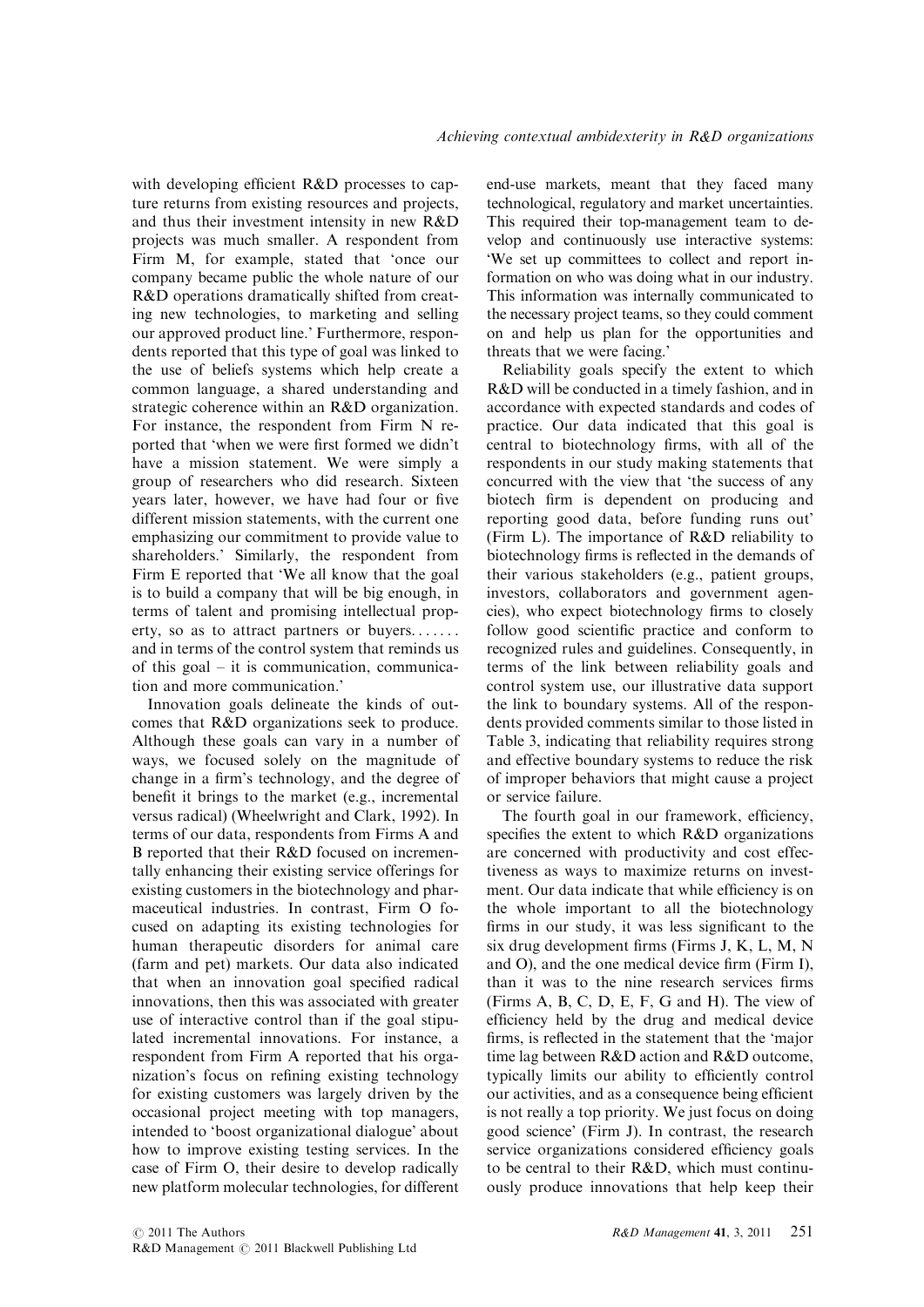with developing efficient R&D processes to capture returns from existing resources and projects, and thus their investment intensity in new R&D projects was much smaller. A respondent from Firm M, for example, stated that 'once our company became public the whole nature of our R&D operations dramatically shifted from creating new technologies, to marketing and selling our approved product line.' Furthermore, respondents reported that this type of goal was linked to the use of beliefs systems which help create a common language, a shared understanding and strategic coherence within an R&D organization. For instance, the respondent from Firm N reported that 'when we were first formed we didn't have a mission statement. We were simply a group of researchers who did research. Sixteen years later, however, we have had four or five different mission statements, with the current one emphasizing our commitment to provide value to shareholders.' Similarly, the respondent from Firm E reported that 'We all know that the goal is to build a company that will be big enough, in terms of talent and promising intellectual property, so as to attract partners or buyers. . . . . . . and in terms of the control system that reminds us of this goal – it is communication, communication and more communication.'

Innovation goals delineate the kinds of outcomes that R&D organizations seek to produce. Although these goals can vary in a number of ways, we focused solely on the magnitude of change in a firm's technology, and the degree of benefit it brings to the market (e.g., incremental versus radical) (Wheelwright and Clark, 1992). In terms of our data, respondents from Firms A and B reported that their R&D focused on incrementally enhancing their existing service offerings for existing customers in the biotechnology and pharmaceutical industries. In contrast, Firm O focused on adapting its existing technologies for human therapeutic disorders for animal care (farm and pet) markets. Our data also indicated that when an innovation goal specified radical innovations, then this was associated with greater use of interactive control than if the goal stipulated incremental innovations. For instance, a respondent from Firm A reported that his organization's focus on refining existing technology for existing customers was largely driven by the occasional project meeting with top managers, intended to 'boost organizational dialogue' about how to improve existing testing services. In the case of Firm O, their desire to develop radically new platform molecular technologies, for different

end-use markets, meant that they faced many technological, regulatory and market uncertainties. This required their top-management team to develop and continuously use interactive systems: 'We set up committees to collect and report information on who was doing what in our industry. This information was internally communicated to the necessary project teams, so they could comment on and help us plan for the opportunities and threats that we were facing.'

Reliability goals specify the extent to which R&D will be conducted in a timely fashion, and in accordance with expected standards and codes of practice. Our data indicated that this goal is central to biotechnology firms, with all of the respondents in our study making statements that concurred with the view that 'the success of any biotech firm is dependent on producing and reporting good data, before funding runs out' (Firm L). The importance of R&D reliability to biotechnology firms is reflected in the demands of their various stakeholders (e.g., patient groups, investors, collaborators and government agencies), who expect biotechnology firms to closely follow good scientific practice and conform to recognized rules and guidelines. Consequently, in terms of the link between reliability goals and control system use, our illustrative data support the link to boundary systems. All of the respondents provided comments similar to those listed in Table 3, indicating that reliability requires strong and effective boundary systems to reduce the risk of improper behaviors that might cause a project or service failure.

The fourth goal in our framework, efficiency, specifies the extent to which R&D organizations are concerned with productivity and cost effectiveness as ways to maximize returns on investment. Our data indicate that while efficiency is on the whole important to all the biotechnology firms in our study, it was less significant to the six drug development firms (Firms J, K, L, M, N and O), and the one medical device firm (Firm I), than it was to the nine research services firms (Firms A, B, C, D, E, F, G and H). The view of efficiency held by the drug and medical device firms, is reflected in the statement that the 'major time lag between R&D action and R&D outcome, typically limits our ability to efficiently control our activities, and as a consequence being efficient is not really a top priority. We just focus on doing good science' (Firm J). In contrast, the research service organizations considered efficiency goals to be central to their R&D, which must continuously produce innovations that help keep their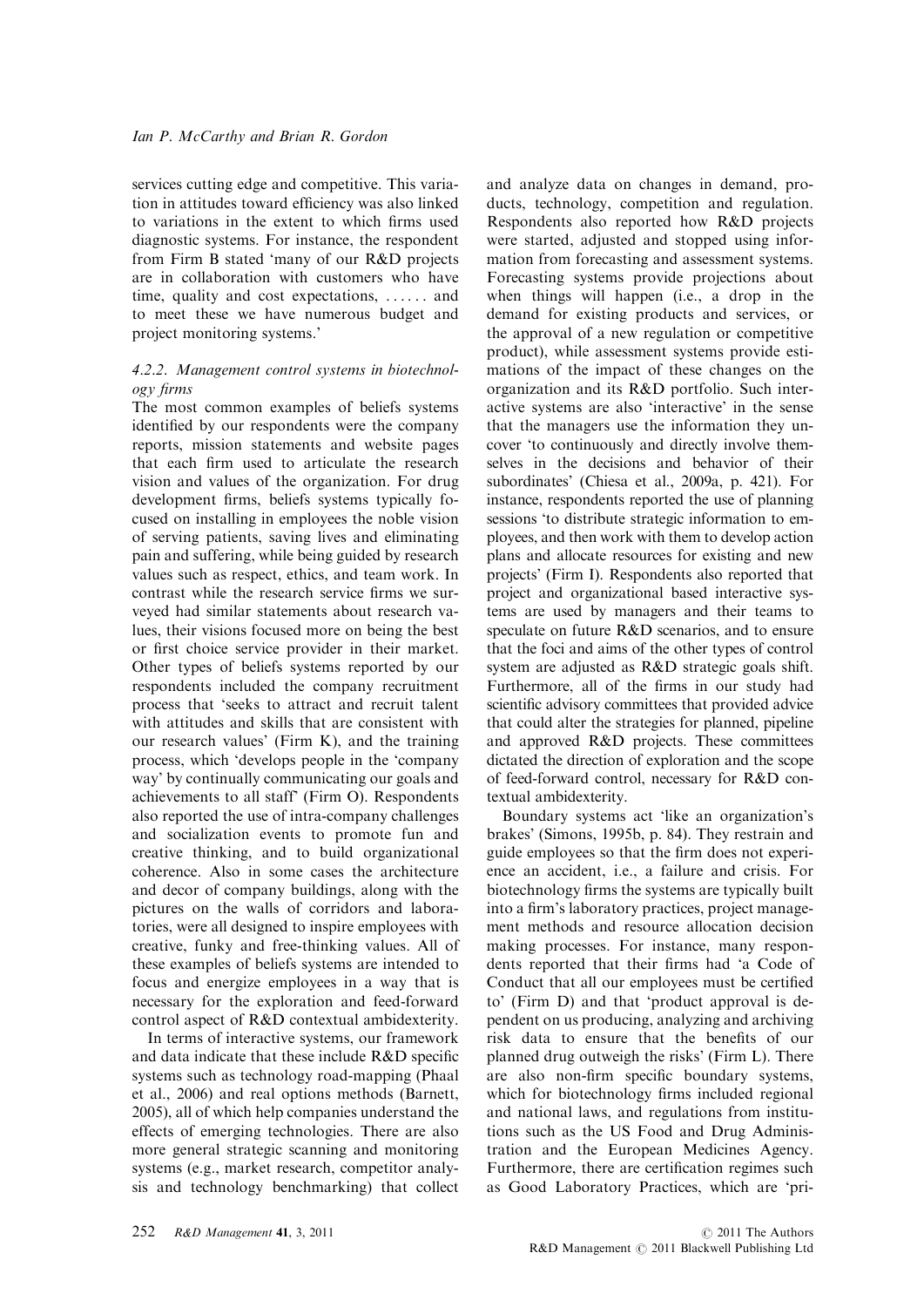services cutting edge and competitive. This variation in attitudes toward efficiency was also linked to variations in the extent to which firms used diagnostic systems. For instance, the respondent from Firm B stated 'many of our R&D projects are in collaboration with customers who have time, quality and cost expectations, . . . . . . and to meet these we have numerous budget and project monitoring systems.'

# 4.2.2. Management control systems in biotechnology firms

The most common examples of beliefs systems identified by our respondents were the company reports, mission statements and website pages that each firm used to articulate the research vision and values of the organization. For drug development firms, beliefs systems typically focused on installing in employees the noble vision of serving patients, saving lives and eliminating pain and suffering, while being guided by research values such as respect, ethics, and team work. In contrast while the research service firms we surveyed had similar statements about research values, their visions focused more on being the best or first choice service provider in their market. Other types of beliefs systems reported by our respondents included the company recruitment process that 'seeks to attract and recruit talent with attitudes and skills that are consistent with our research values' (Firm K), and the training process, which 'develops people in the 'company way' by continually communicating our goals and achievements to all staff' (Firm O). Respondents also reported the use of intra-company challenges and socialization events to promote fun and creative thinking, and to build organizational coherence. Also in some cases the architecture and decor of company buildings, along with the pictures on the walls of corridors and laboratories, were all designed to inspire employees with creative, funky and free-thinking values. All of these examples of beliefs systems are intended to focus and energize employees in a way that is necessary for the exploration and feed-forward control aspect of R&D contextual ambidexterity.

In terms of interactive systems, our framework and data indicate that these include R&D specific systems such as technology road-mapping (Phaal et al., 2006) and real options methods (Barnett, 2005), all of which help companies understand the effects of emerging technologies. There are also more general strategic scanning and monitoring systems (e.g., market research, competitor analysis and technology benchmarking) that collect

and analyze data on changes in demand, products, technology, competition and regulation. Respondents also reported how R&D projects were started, adjusted and stopped using information from forecasting and assessment systems. Forecasting systems provide projections about when things will happen (i.e., a drop in the demand for existing products and services, or the approval of a new regulation or competitive product), while assessment systems provide estimations of the impact of these changes on the organization and its R&D portfolio. Such interactive systems are also 'interactive' in the sense that the managers use the information they uncover 'to continuously and directly involve themselves in the decisions and behavior of their subordinates' (Chiesa et al., 2009a, p. 421). For instance, respondents reported the use of planning sessions 'to distribute strategic information to employees, and then work with them to develop action plans and allocate resources for existing and new projects' (Firm I). Respondents also reported that project and organizational based interactive systems are used by managers and their teams to speculate on future R&D scenarios, and to ensure that the foci and aims of the other types of control system are adjusted as R&D strategic goals shift. Furthermore, all of the firms in our study had scientific advisory committees that provided advice that could alter the strategies for planned, pipeline and approved R&D projects. These committees dictated the direction of exploration and the scope of feed-forward control, necessary for R&D contextual ambidexterity.

Boundary systems act 'like an organization's brakes' (Simons, 1995b, p. 84). They restrain and guide employees so that the firm does not experience an accident, i.e., a failure and crisis. For biotechnology firms the systems are typically built into a firm's laboratory practices, project management methods and resource allocation decision making processes. For instance, many respondents reported that their firms had 'a Code of Conduct that all our employees must be certified to' (Firm D) and that 'product approval is dependent on us producing, analyzing and archiving risk data to ensure that the benefits of our planned drug outweigh the risks' (Firm L). There are also non-firm specific boundary systems, which for biotechnology firms included regional and national laws, and regulations from institutions such as the US Food and Drug Administration and the European Medicines Agency. Furthermore, there are certification regimes such as Good Laboratory Practices, which are 'pri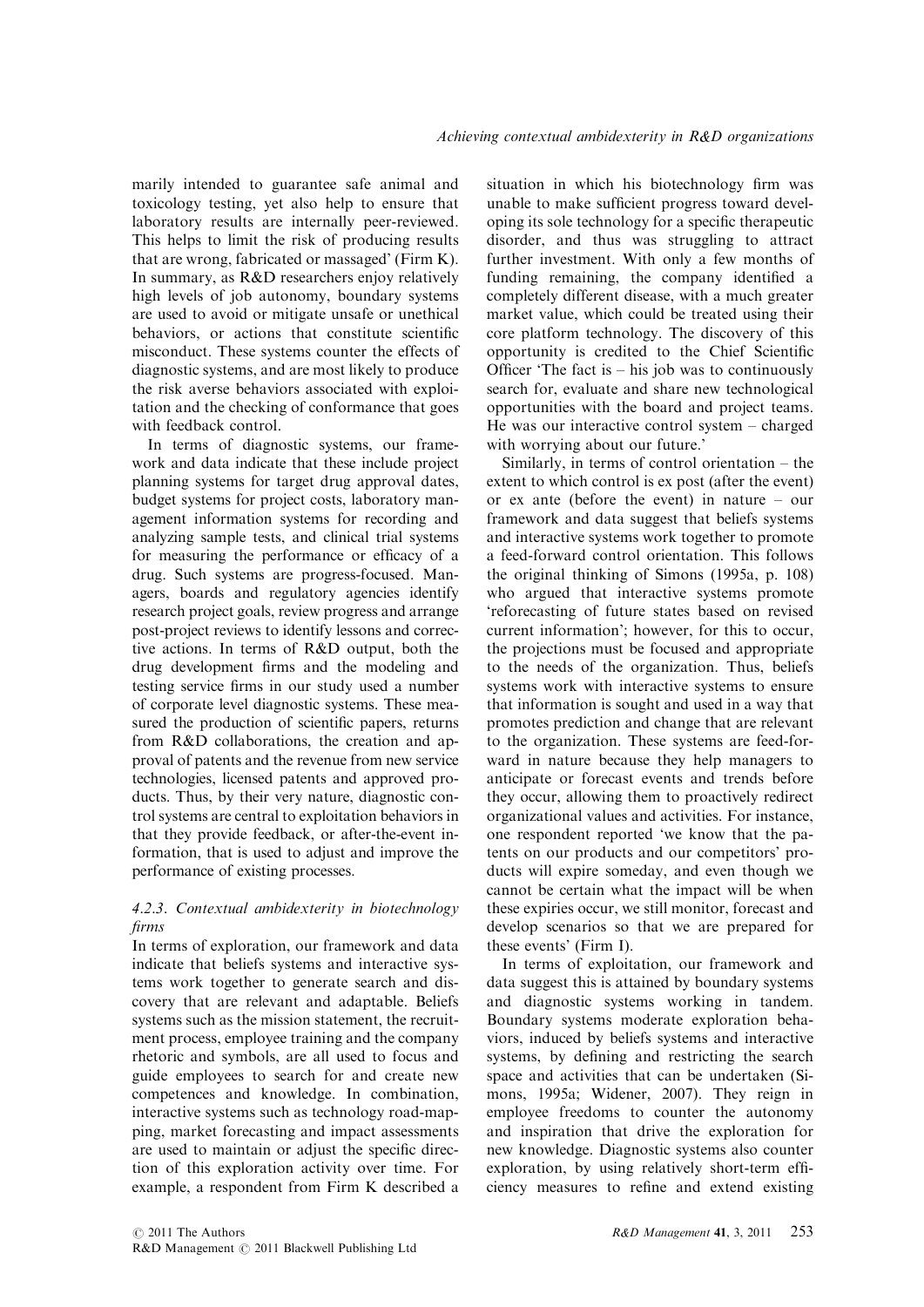marily intended to guarantee safe animal and toxicology testing, yet also help to ensure that laboratory results are internally peer-reviewed. This helps to limit the risk of producing results that are wrong, fabricated or massaged' (Firm K). In summary, as R&D researchers enjoy relatively high levels of job autonomy, boundary systems are used to avoid or mitigate unsafe or unethical behaviors, or actions that constitute scientific misconduct. These systems counter the effects of diagnostic systems, and are most likely to produce the risk averse behaviors associated with exploitation and the checking of conformance that goes with feedback control.

In terms of diagnostic systems, our framework and data indicate that these include project planning systems for target drug approval dates, budget systems for project costs, laboratory management information systems for recording and analyzing sample tests, and clinical trial systems for measuring the performance or efficacy of a drug. Such systems are progress-focused. Managers, boards and regulatory agencies identify research project goals, review progress and arrange post-project reviews to identify lessons and corrective actions. In terms of R&D output, both the drug development firms and the modeling and testing service firms in our study used a number of corporate level diagnostic systems. These measured the production of scientific papers, returns from R&D collaborations, the creation and approval of patents and the revenue from new service technologies, licensed patents and approved products. Thus, by their very nature, diagnostic control systems are central to exploitation behaviors in that they provide feedback, or after-the-event information, that is used to adjust and improve the performance of existing processes.

### 4.2.3. Contextual ambidexterity in biotechnology firms

In terms of exploration, our framework and data indicate that beliefs systems and interactive systems work together to generate search and discovery that are relevant and adaptable. Beliefs systems such as the mission statement, the recruitment process, employee training and the company rhetoric and symbols, are all used to focus and guide employees to search for and create new competences and knowledge. In combination, interactive systems such as technology road-mapping, market forecasting and impact assessments are used to maintain or adjust the specific direction of this exploration activity over time. For example, a respondent from Firm K described a

situation in which his biotechnology firm was unable to make sufficient progress toward developing its sole technology for a specific therapeutic disorder, and thus was struggling to attract further investment. With only a few months of funding remaining, the company identified a completely different disease, with a much greater market value, which could be treated using their core platform technology. The discovery of this opportunity is credited to the Chief Scientific Officer 'The fact is  $-$  his job was to continuously search for, evaluate and share new technological opportunities with the board and project teams. He was our interactive control system – charged with worrying about our future.'

Similarly, in terms of control orientation – the extent to which control is ex post (after the event) or ex ante (before the event) in nature – our framework and data suggest that beliefs systems and interactive systems work together to promote a feed-forward control orientation. This follows the original thinking of Simons (1995a, p. 108) who argued that interactive systems promote 'reforecasting of future states based on revised current information'; however, for this to occur, the projections must be focused and appropriate to the needs of the organization. Thus, beliefs systems work with interactive systems to ensure that information is sought and used in a way that promotes prediction and change that are relevant to the organization. These systems are feed-forward in nature because they help managers to anticipate or forecast events and trends before they occur, allowing them to proactively redirect organizational values and activities. For instance, one respondent reported 'we know that the patents on our products and our competitors' products will expire someday, and even though we cannot be certain what the impact will be when these expiries occur, we still monitor, forecast and develop scenarios so that we are prepared for these events' (Firm I).

In terms of exploitation, our framework and data suggest this is attained by boundary systems and diagnostic systems working in tandem. Boundary systems moderate exploration behaviors, induced by beliefs systems and interactive systems, by defining and restricting the search space and activities that can be undertaken (Simons, 1995a; Widener, 2007). They reign in employee freedoms to counter the autonomy and inspiration that drive the exploration for new knowledge. Diagnostic systems also counter exploration, by using relatively short-term efficiency measures to refine and extend existing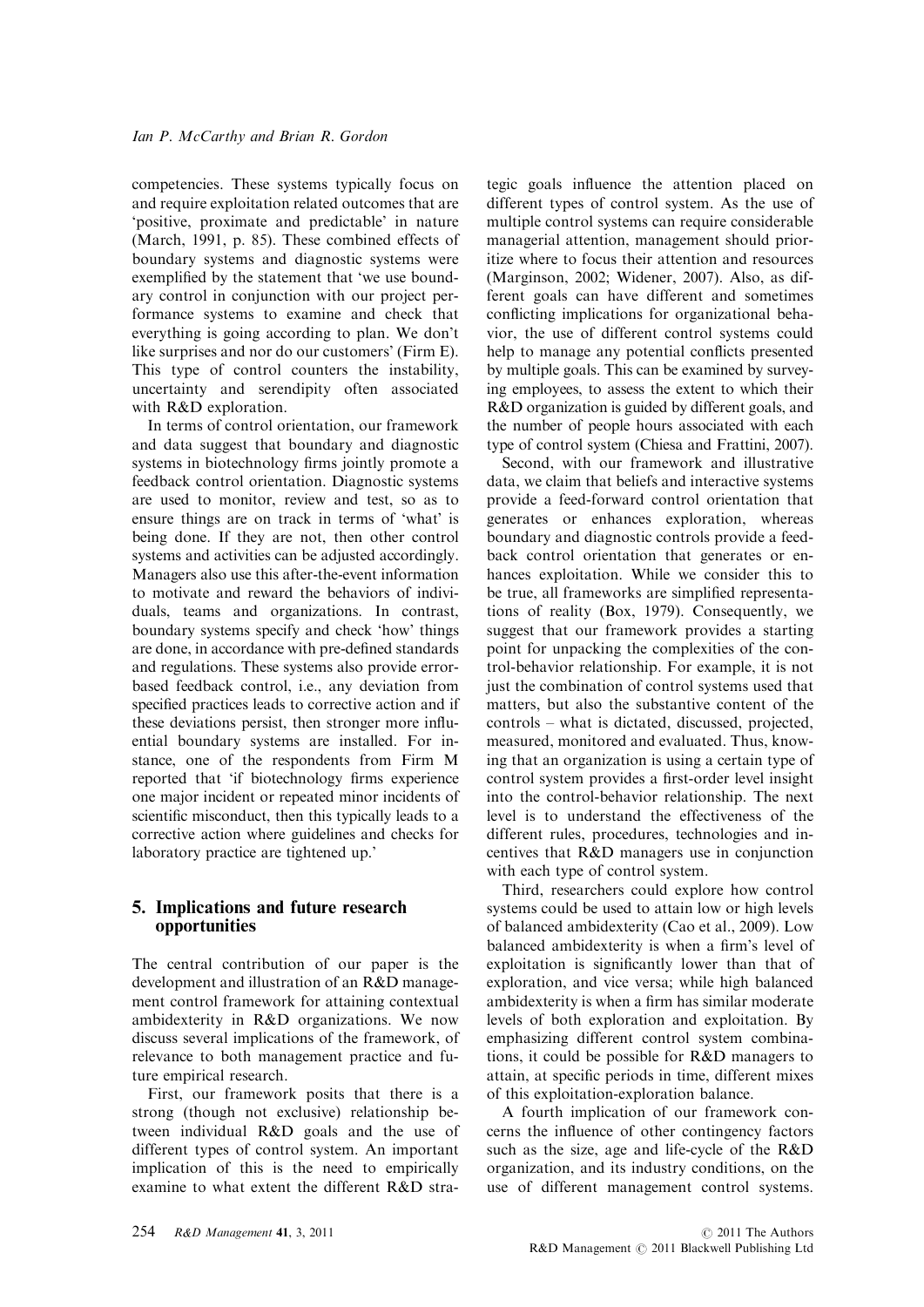competencies. These systems typically focus on and require exploitation related outcomes that are 'positive, proximate and predictable' in nature (March, 1991, p. 85). These combined effects of boundary systems and diagnostic systems were exemplified by the statement that 'we use boundary control in conjunction with our project performance systems to examine and check that everything is going according to plan. We don't like surprises and nor do our customers' (Firm E). This type of control counters the instability, uncertainty and serendipity often associated with R&D exploration.

In terms of control orientation, our framework and data suggest that boundary and diagnostic systems in biotechnology firms jointly promote a feedback control orientation. Diagnostic systems are used to monitor, review and test, so as to ensure things are on track in terms of 'what' is being done. If they are not, then other control systems and activities can be adjusted accordingly. Managers also use this after-the-event information to motivate and reward the behaviors of individuals, teams and organizations. In contrast, boundary systems specify and check 'how' things are done, in accordance with pre-defined standards and regulations. These systems also provide errorbased feedback control, i.e., any deviation from specified practices leads to corrective action and if these deviations persist, then stronger more influential boundary systems are installed. For instance, one of the respondents from Firm M reported that 'if biotechnology firms experience one major incident or repeated minor incidents of scientific misconduct, then this typically leads to a corrective action where guidelines and checks for laboratory practice are tightened up.'

# 5. Implications and future research opportunities

The central contribution of our paper is the development and illustration of an R&D management control framework for attaining contextual ambidexterity in R&D organizations. We now discuss several implications of the framework, of relevance to both management practice and future empirical research.

First, our framework posits that there is a strong (though not exclusive) relationship between individual R&D goals and the use of different types of control system. An important implication of this is the need to empirically examine to what extent the different R&D strategic goals influence the attention placed on different types of control system. As the use of multiple control systems can require considerable managerial attention, management should prioritize where to focus their attention and resources (Marginson, 2002; Widener, 2007). Also, as different goals can have different and sometimes conflicting implications for organizational behavior, the use of different control systems could help to manage any potential conflicts presented by multiple goals. This can be examined by surveying employees, to assess the extent to which their R&D organization is guided by different goals, and the number of people hours associated with each type of control system (Chiesa and Frattini, 2007).

Second, with our framework and illustrative data, we claim that beliefs and interactive systems provide a feed-forward control orientation that generates or enhances exploration, whereas boundary and diagnostic controls provide a feedback control orientation that generates or enhances exploitation. While we consider this to be true, all frameworks are simplified representations of reality (Box, 1979). Consequently, we suggest that our framework provides a starting point for unpacking the complexities of the control-behavior relationship. For example, it is not just the combination of control systems used that matters, but also the substantive content of the controls – what is dictated, discussed, projected, measured, monitored and evaluated. Thus, knowing that an organization is using a certain type of control system provides a first-order level insight into the control-behavior relationship. The next level is to understand the effectiveness of the different rules, procedures, technologies and incentives that R&D managers use in conjunction with each type of control system.

Third, researchers could explore how control systems could be used to attain low or high levels of balanced ambidexterity (Cao et al., 2009). Low balanced ambidexterity is when a firm's level of exploitation is significantly lower than that of exploration, and vice versa; while high balanced ambidexterity is when a firm has similar moderate levels of both exploration and exploitation. By emphasizing different control system combinations, it could be possible for R&D managers to attain, at specific periods in time, different mixes of this exploitation-exploration balance.

A fourth implication of our framework concerns the influence of other contingency factors such as the size, age and life-cycle of the R&D organization, and its industry conditions, on the use of different management control systems.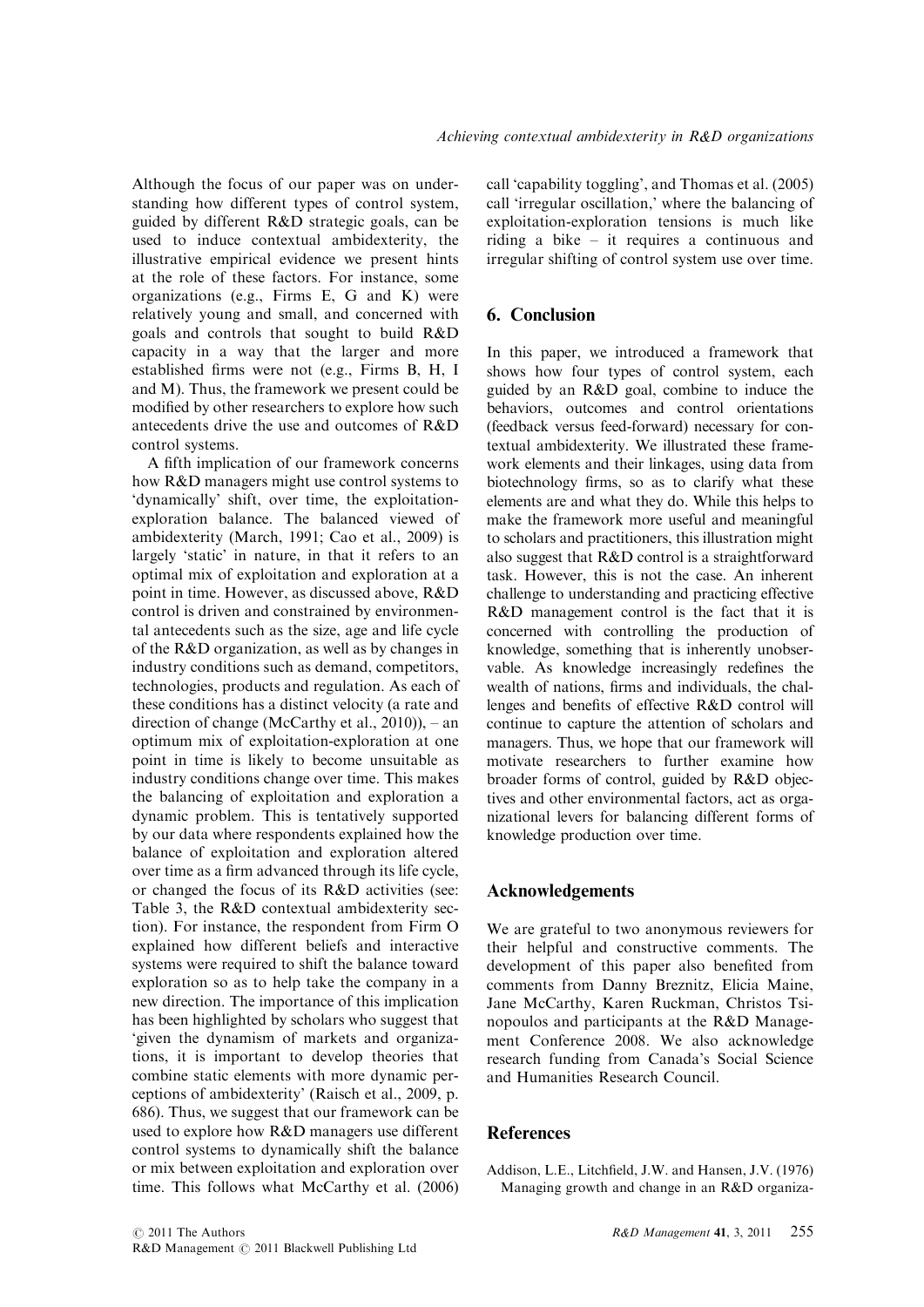Although the focus of our paper was on understanding how different types of control system, guided by different R&D strategic goals, can be used to induce contextual ambidexterity, the illustrative empirical evidence we present hints at the role of these factors. For instance, some organizations (e.g., Firms E, G and K) were relatively young and small, and concerned with goals and controls that sought to build R&D capacity in a way that the larger and more established firms were not (e.g., Firms B, H, I and M). Thus, the framework we present could be modified by other researchers to explore how such antecedents drive the use and outcomes of R&D control systems.

A fifth implication of our framework concerns how R&D managers might use control systems to 'dynamically' shift, over time, the exploitationexploration balance. The balanced viewed of ambidexterity (March, 1991; Cao et al., 2009) is largely 'static' in nature, in that it refers to an optimal mix of exploitation and exploration at a point in time. However, as discussed above, R&D control is driven and constrained by environmental antecedents such as the size, age and life cycle of the R&D organization, as well as by changes in industry conditions such as demand, competitors, technologies, products and regulation. As each of these conditions has a distinct velocity (a rate and direction of change (McCarthy et al., 2010)), – an optimum mix of exploitation-exploration at one point in time is likely to become unsuitable as industry conditions change over time. This makes the balancing of exploitation and exploration a dynamic problem. This is tentatively supported by our data where respondents explained how the balance of exploitation and exploration altered over time as a firm advanced through its life cycle, or changed the focus of its R&D activities (see: Table 3, the R&D contextual ambidexterity section). For instance, the respondent from Firm O explained how different beliefs and interactive systems were required to shift the balance toward exploration so as to help take the company in a new direction. The importance of this implication has been highlighted by scholars who suggest that 'given the dynamism of markets and organizations, it is important to develop theories that combine static elements with more dynamic perceptions of ambidexterity' (Raisch et al., 2009, p. 686). Thus, we suggest that our framework can be used to explore how R&D managers use different control systems to dynamically shift the balance or mix between exploitation and exploration over time. This follows what McCarthy et al. (2006) call 'capability toggling', and Thomas et al. (2005) call 'irregular oscillation,' where the balancing of exploitation-exploration tensions is much like riding a bike – it requires a continuous and irregular shifting of control system use over time.

# 6. Conclusion

In this paper, we introduced a framework that shows how four types of control system, each guided by an R&D goal, combine to induce the behaviors, outcomes and control orientations (feedback versus feed-forward) necessary for contextual ambidexterity. We illustrated these framework elements and their linkages, using data from biotechnology firms, so as to clarify what these elements are and what they do. While this helps to make the framework more useful and meaningful to scholars and practitioners, this illustration might also suggest that R&D control is a straightforward task. However, this is not the case. An inherent challenge to understanding and practicing effective R&D management control is the fact that it is concerned with controlling the production of knowledge, something that is inherently unobservable. As knowledge increasingly redefines the wealth of nations, firms and individuals, the challenges and benefits of effective R&D control will continue to capture the attention of scholars and managers. Thus, we hope that our framework will motivate researchers to further examine how broader forms of control, guided by R&D objectives and other environmental factors, act as organizational levers for balancing different forms of knowledge production over time.

# Acknowledgements

We are grateful to two anonymous reviewers for their helpful and constructive comments. The development of this paper also benefited from comments from Danny Breznitz, Elicia Maine, Jane McCarthy, Karen Ruckman, Christos Tsinopoulos and participants at the R&D Management Conference 2008. We also acknowledge research funding from Canada's Social Science and Humanities Research Council.

# **References**

Addison, L.E., Litchfield, J.W. and Hansen, J.V. (1976) Managing growth and change in an R&D organiza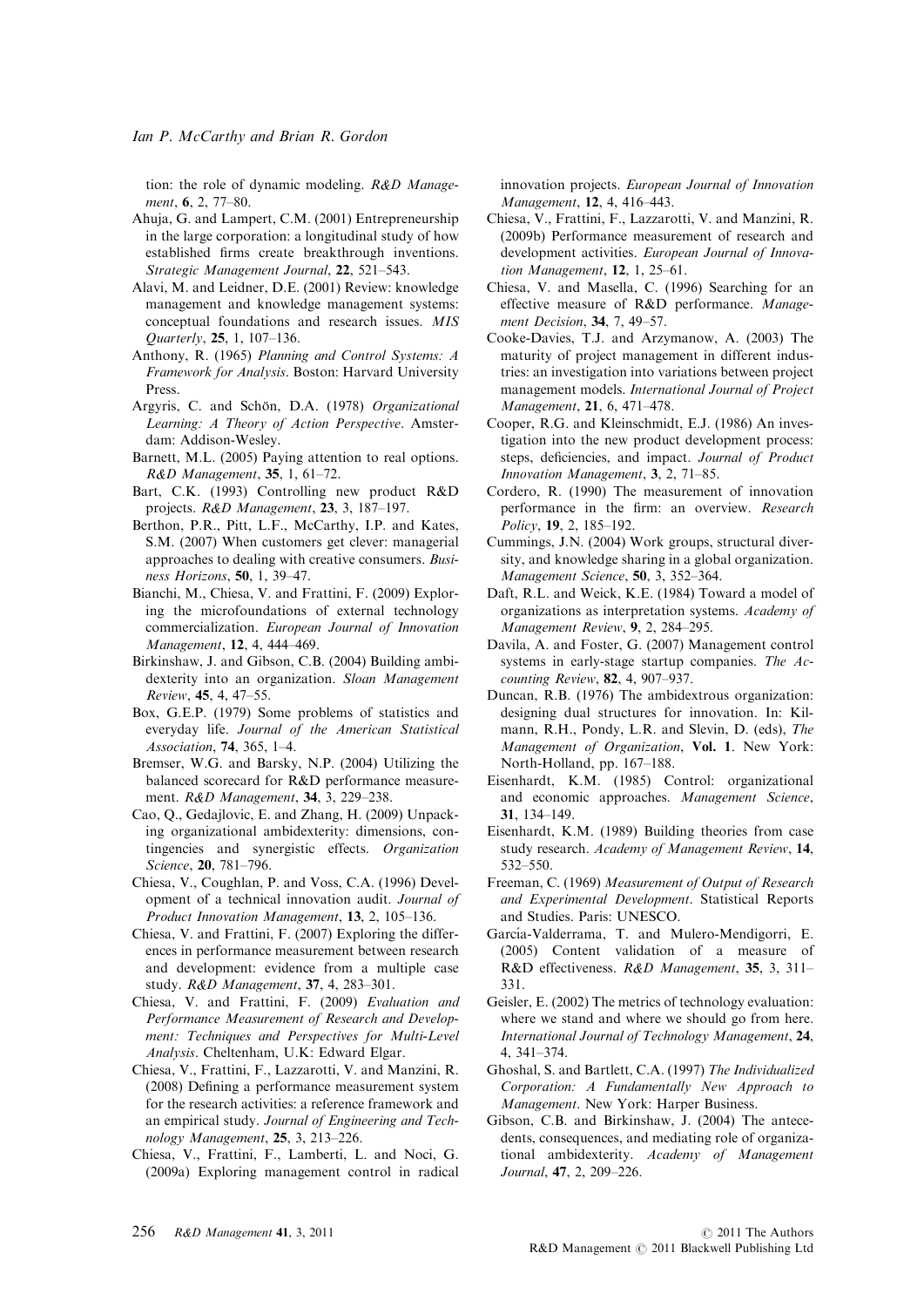tion: the role of dynamic modeling. R&D Management, 6, 2, 77–80.

- Ahuja, G. and Lampert, C.M. (2001) Entrepreneurship in the large corporation: a longitudinal study of how established firms create breakthrough inventions. Strategic Management Journal, 22, 521–543.
- Alavi, M. and Leidner, D.E. (2001) Review: knowledge management and knowledge management systems: conceptual foundations and research issues. MIS Quarterly, 25, 1, 107–136.
- Anthony, R. (1965) Planning and Control Systems: A Framework for Analysis. Boston: Harvard University Press.
- Argyris, C. and Schön, D.A. (1978) Organizational Learning: A Theory of Action Perspective. Amsterdam: Addison-Wesley.
- Barnett, M.L. (2005) Paying attention to real options. R&D Management, 35, 1, 61–72.
- Bart, C.K. (1993) Controlling new product R&D projects. R&D Management, 23, 3, 187–197.
- Berthon, P.R., Pitt, L.F., McCarthy, I.P. and Kates, S.M. (2007) When customers get clever: managerial approaches to dealing with creative consumers. Business Horizons, 50, 1, 39–47.
- Bianchi, M., Chiesa, V. and Frattini, F. (2009) Exploring the microfoundations of external technology commercialization. European Journal of Innovation Management, 12, 4, 444–469.
- Birkinshaw, J. and Gibson, C.B. (2004) Building ambidexterity into an organization. Sloan Management Review, 45, 4, 47–55.
- Box, G.E.P. (1979) Some problems of statistics and everyday life. Journal of the American Statistical Association, 74, 365, 1–4.
- Bremser, W.G. and Barsky, N.P. (2004) Utilizing the balanced scorecard for R&D performance measurement. R&D Management, 34, 3, 229–238.
- Cao, Q., Gedajlovic, E. and Zhang, H. (2009) Unpacking organizational ambidexterity: dimensions, contingencies and synergistic effects. Organization Science, 20, 781–796.
- Chiesa, V., Coughlan, P. and Voss, C.A. (1996) Development of a technical innovation audit. Journal of Product Innovation Management, 13, 2, 105–136.
- Chiesa, V. and Frattini, F. (2007) Exploring the differences in performance measurement between research and development: evidence from a multiple case study. R&D Management, 37, 4, 283–301.
- Chiesa, V. and Frattini, F. (2009) Evaluation and Performance Measurement of Research and Development: Techniques and Perspectives for Multi-Level Analysis. Cheltenham, U.K: Edward Elgar.
- Chiesa, V., Frattini, F., Lazzarotti, V. and Manzini, R. (2008) Defining a performance measurement system for the research activities: a reference framework and an empirical study. Journal of Engineering and Technology Management, 25, 3, 213–226.
- Chiesa, V., Frattini, F., Lamberti, L. and Noci, G. (2009a) Exploring management control in radical

innovation projects. European Journal of Innovation Management, 12, 4, 416–443.

- Chiesa, V., Frattini, F., Lazzarotti, V. and Manzini, R. (2009b) Performance measurement of research and development activities. European Journal of Innovation Management, 12, 1, 25–61.
- Chiesa, V. and Masella, C. (1996) Searching for an effective measure of R&D performance. Management Decision, 34, 7, 49–57.
- Cooke-Davies, T.J. and Arzymanow, A. (2003) The maturity of project management in different industries: an investigation into variations between project management models. International Journal of Project Management, 21, 6, 471–478.
- Cooper, R.G. and Kleinschmidt, E.J. (1986) An investigation into the new product development process: steps, deficiencies, and impact. Journal of Product Innovation Management, 3, 2, 71–85.
- Cordero, R. (1990) The measurement of innovation performance in the firm: an overview. Research Policy, 19, 2, 185–192.
- Cummings, J.N. (2004) Work groups, structural diversity, and knowledge sharing in a global organization. Management Science, 50, 3, 352–364.
- Daft, R.L. and Weick, K.E. (1984) Toward a model of organizations as interpretation systems. Academy of Management Review, 9, 2, 284–295.
- Davila, A. and Foster, G. (2007) Management control systems in early-stage startup companies. The Accounting Review, 82, 4, 907–937.
- Duncan, R.B. (1976) The ambidextrous organization: designing dual structures for innovation. In: Kilmann, R.H., Pondy, L.R. and Slevin, D. (eds), The Management of Organization, Vol. 1. New York: North-Holland, pp. 167–188.
- Eisenhardt, K.M. (1985) Control: organizational and economic approaches. Management Science, 31, 134–149.
- Eisenhardt, K.M. (1989) Building theories from case study research. Academy of Management Review, 14, 532–550.
- Freeman, C. (1969) Measurement of Output of Research and Experimental Development. Statistical Reports and Studies. Paris: UNESCO.
- García-Valderrama, T. and Mulero-Mendigorri, E. (2005) Content validation of a measure of R&D effectiveness. R&D Management, 35, 3, 311-331.
- Geisler, E. (2002) The metrics of technology evaluation: where we stand and where we should go from here. International Journal of Technology Management, 24, 4, 341–374.
- Ghoshal, S. and Bartlett, C.A. (1997) The Individualized Corporation: A Fundamentally New Approach to Management. New York: Harper Business.
- Gibson, C.B. and Birkinshaw, J. (2004) The antecedents, consequences, and mediating role of organizational ambidexterity. Academy of Management Journal, 47, 2, 209–226.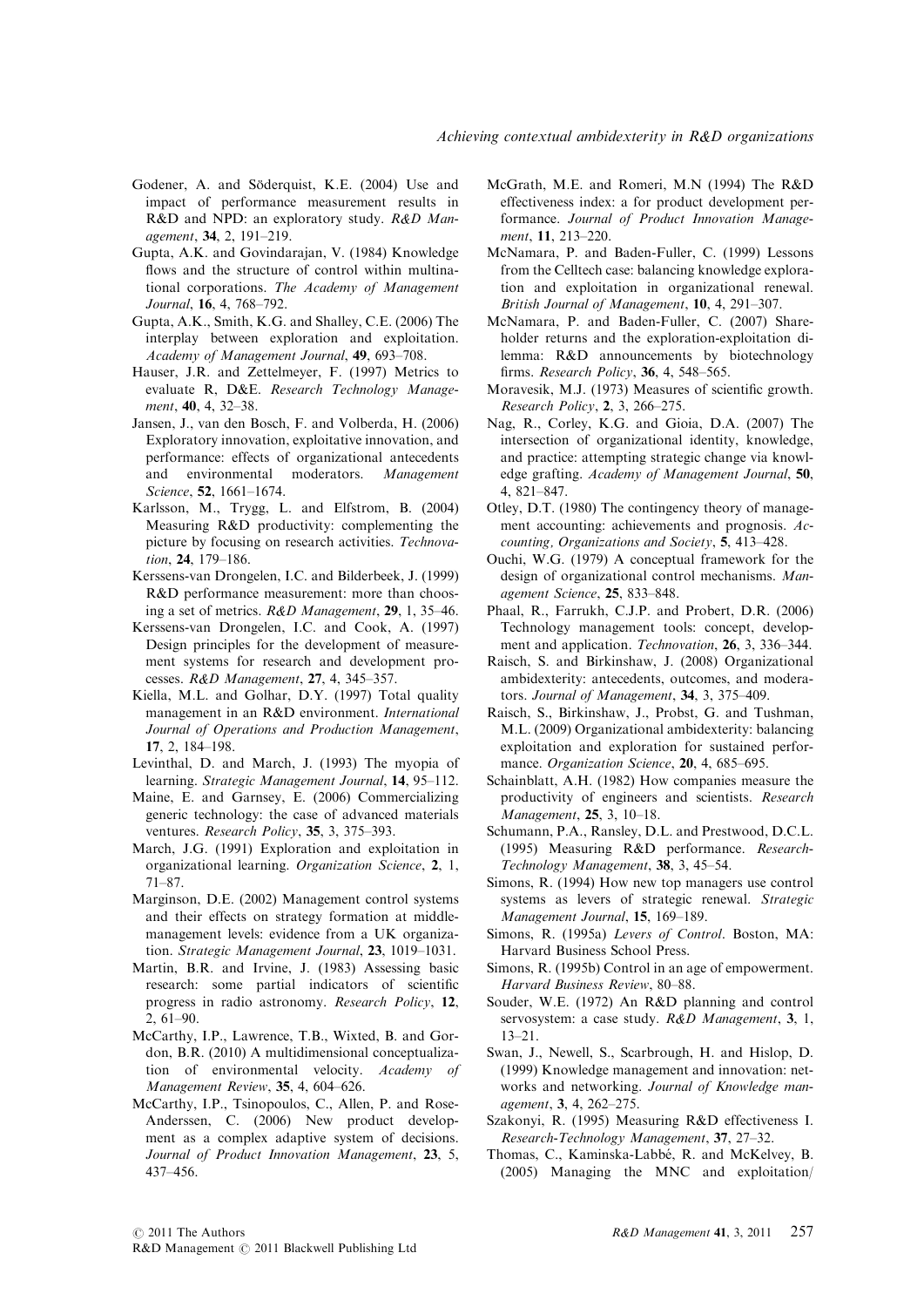- Godener, A. and Söderquist, K.E. (2004) Use and impact of performance measurement results in R&D and NPD: an exploratory study. R&D Management, 34, 2, 191–219.
- Gupta, A.K. and Govindarajan, V. (1984) Knowledge flows and the structure of control within multinational corporations. The Academy of Management Journal, 16, 4, 768–792.
- Gupta, A.K., Smith, K.G. and Shalley, C.E. (2006) The interplay between exploration and exploitation. Academy of Management Journal, 49, 693–708.
- Hauser, J.R. and Zettelmeyer, F. (1997) Metrics to evaluate R, D&E. Research Technology Management, 40, 4, 32–38.
- Jansen, J., van den Bosch, F. and Volberda, H. (2006) Exploratory innovation, exploitative innovation, and performance: effects of organizational antecedents and environmental moderators. Management Science, 52, 1661–1674.
- Karlsson, M., Trygg, L. and Elfstrom, B. (2004) Measuring R&D productivity: complementing the picture by focusing on research activities. Technovation, 24, 179–186.
- Kerssens-van Drongelen, I.C. and Bilderbeek, J. (1999) R&D performance measurement: more than choosing a set of metrics. R&D Management, 29, 1, 35–46.
- Kerssens-van Drongelen, I.C. and Cook, A. (1997) Design principles for the development of measurement systems for research and development processes. R&D Management, 27, 4, 345–357.
- Kiella, M.L. and Golhar, D.Y. (1997) Total quality management in an R&D environment. International Journal of Operations and Production Management, 17, 2, 184–198.
- Levinthal, D. and March, J. (1993) The myopia of learning. Strategic Management Journal, 14, 95–112.
- Maine, E. and Garnsey, E. (2006) Commercializing generic technology: the case of advanced materials ventures. Research Policy, 35, 3, 375–393.
- March, J.G. (1991) Exploration and exploitation in organizational learning. Organization Science, 2, 1, 71–87.
- Marginson, D.E. (2002) Management control systems and their effects on strategy formation at middlemanagement levels: evidence from a UK organization. Strategic Management Journal, 23, 1019–1031.
- Martin, B.R. and Irvine, J. (1983) Assessing basic research: some partial indicators of scientific progress in radio astronomy. Research Policy, 12, 2, 61–90.
- McCarthy, I.P., Lawrence, T.B., Wixted, B. and Gordon, B.R. (2010) A multidimensional conceptualization of environmental velocity. Academy of Management Review, 35, 4, 604–626.
- McCarthy, I.P., Tsinopoulos, C., Allen, P. and Rose-Anderssen, C. (2006) New product development as a complex adaptive system of decisions. Journal of Product Innovation Management, 23, 5, 437–456.
- McGrath, M.E. and Romeri, M.N (1994) The R&D effectiveness index: a for product development performance. Journal of Product Innovation Management, 11, 213–220.
- McNamara, P. and Baden-Fuller, C. (1999) Lessons from the Celltech case: balancing knowledge exploration and exploitation in organizational renewal. British Journal of Management, 10, 4, 291–307.
- McNamara, P. and Baden-Fuller, C. (2007) Shareholder returns and the exploration-exploitation dilemma: R&D announcements by biotechnology firms. Research Policy, 36, 4, 548–565.
- Moravesik, M.J. (1973) Measures of scientific growth. Research Policy, 2, 3, 266–275.
- Nag, R., Corley, K.G. and Gioia, D.A. (2007) The intersection of organizational identity, knowledge, and practice: attempting strategic change via knowledge grafting. Academy of Management Journal, 50, 4, 821–847.
- Otley, D.T. (1980) The contingency theory of management accounting: achievements and prognosis. Accounting, Organizations and Society, 5, 413–428.
- Ouchi, W.G. (1979) A conceptual framework for the design of organizational control mechanisms. Management Science, 25, 833–848.
- Phaal, R., Farrukh, C.J.P. and Probert, D.R. (2006) Technology management tools: concept, development and application. *Technovation*, **26**, 3, 336–344.
- Raisch, S. and Birkinshaw, J. (2008) Organizational ambidexterity: antecedents, outcomes, and moderators. Journal of Management, 34, 3, 375–409.
- Raisch, S., Birkinshaw, J., Probst, G. and Tushman, M.L. (2009) Organizational ambidexterity: balancing exploitation and exploration for sustained performance. Organization Science, 20, 4, 685-695.
- Schainblatt, A.H. (1982) How companies measure the productivity of engineers and scientists. Research Management, 25, 3, 10–18.
- Schumann, P.A., Ransley, D.L. and Prestwood, D.C.L. (1995) Measuring R&D performance. Research-Technology Management, 38, 3, 45–54.
- Simons, R. (1994) How new top managers use control systems as levers of strategic renewal. Strategic Management Journal, 15, 169–189.
- Simons, R. (1995a) Levers of Control. Boston, MA: Harvard Business School Press.
- Simons, R. (1995b) Control in an age of empowerment. Harvard Business Review, 80–88.
- Souder, W.E. (1972) An R&D planning and control servosystem: a case study. R&D Management, 3, 1, 13–21.
- Swan, J., Newell, S., Scarbrough, H. and Hislop, D. (1999) Knowledge management and innovation: networks and networking. Journal of Knowledge management, 3, 4, 262–275.
- Szakonyi, R. (1995) Measuring R&D effectiveness I. Research-Technology Management, 37, 27–32.
- Thomas, C., Kaminska-Labbé, R. and McKelvey, B. (2005) Managing the MNC and exploitation/